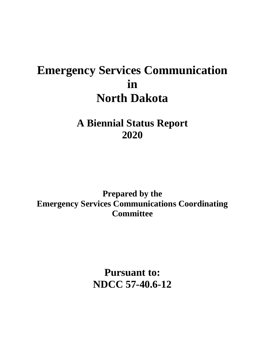# **Emergency Services Communication in North Dakota**

**A Biennial Status Report 2020**

**Prepared by the Emergency Services Communications Coordinating Committee**

> **Pursuant to: NDCC 57-40.6-12**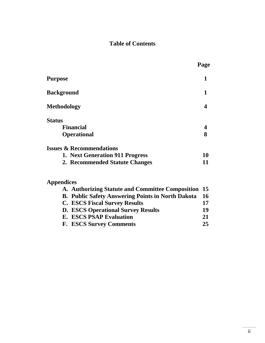## **Table of Contents**

|                                                          | Page |
|----------------------------------------------------------|------|
| <b>Purpose</b>                                           | 1    |
| <b>Background</b>                                        | 1    |
| <b>Methodology</b>                                       | 4    |
| <b>Status</b>                                            |      |
| <b>Financial</b>                                         | 4    |
| <b>Operational</b>                                       | 8    |
| <b>Issues &amp; Recommendations</b>                      |      |
| 1. Next Generation 911 Progress                          | 10   |
| 2. Recommended Statute Changes                           | 11   |
| <b>Appendices</b>                                        |      |
| A. Authorizing Statute and Committee Composition         | 15   |
| <b>B. Public Safety Answering Points in North Dakota</b> | 16   |
| <b>C. ESCS Fiscal Survey Results</b>                     | 17   |
| <b>D. ESCS Operational Survey Results</b>                | 19   |
| <b>E. ESCS PSAP Evaluation</b>                           | 21   |
| <b>F. ESCS Survey Comments</b>                           | 25   |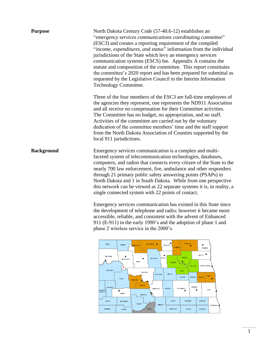| <b>Purpose</b>    | North Dakota Century Code (57-40.6-12) establishes an<br>"emergency services communications coordinating committee"<br>(ESC3) and creates a reporting requirement of the compiled<br>"income, expenditures, and status" information from the individual<br>jurisdictions of the State which levy an emergency services<br>communication systems (ESCS) fee. Appendix A contains the<br>statute and composition of the committee. This report constitutes<br>the committee's 2020 report and has been prepared for submittal as<br>requested by the Legislative Council to the Interim Information<br>Technology Committee.                                                                                                                                                                                                                                      |
|-------------------|-----------------------------------------------------------------------------------------------------------------------------------------------------------------------------------------------------------------------------------------------------------------------------------------------------------------------------------------------------------------------------------------------------------------------------------------------------------------------------------------------------------------------------------------------------------------------------------------------------------------------------------------------------------------------------------------------------------------------------------------------------------------------------------------------------------------------------------------------------------------|
|                   | Three of the four members of the ESC3 are full-time employees of<br>the agencies they represent, one represents the ND911 Association<br>and all receive no compensation for their Committee activities.<br>The Committee has no budget, no appropriation, and no staff.<br>Activities of the committee are carried out by the voluntary<br>dedication of the committee members' time and the staff support<br>from the North Dakota Association of Counties supported by the<br>local 911 jurisdictions.                                                                                                                                                                                                                                                                                                                                                       |
| <b>Background</b> | Emergency services communication is a complex and multi-<br>faceted system of telecommunication technologies, databases,<br>computers, and radios that connects every citizen of the State to the<br>nearly 700 law enforcement, fire, ambulance and other responders<br>through 21 primary public safety answering points (PSAPs) in<br>North Dakota and 1 in South Dakota. While from one perspective<br>this network can be viewed as 22 separate systems it is, in reality, a<br>single connected system with 22 points of contact.<br>Emergency services communication has existed in this State since<br>the development of telephone and radio; however it became more<br>accessible, reliable, and consistent with the advent of Enhanced<br>911 (E-911) in the early 1990's and the adoption of phase 1 and<br>phase 2 wireless service in the 2000's. |

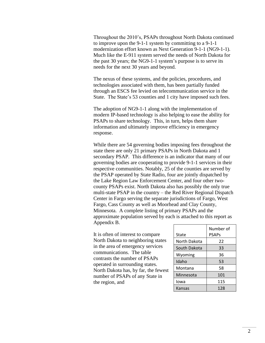Throughout the 2010's, PSAPs throughout North Dakota continued to improve upon the 9-1-1 system by committing to a 9-1-1 modernization effort known as Next Generation 9-1-1 (NG9-1-1). Much like the E-911 system served the needs of North Dakota for the past 30 years; the NG9-1-1 system's purpose is to serve its needs for the next 30 years and beyond.

The nexus of these systems, and the policies, procedures, and technologies associated with them, has been partially funded through an ESCS fee levied on telecommunication service in the State. The State's 53 counties and 1 city have imposed such fees.

The adoption of NG9-1-1 along with the implementation of modern IP-based technology is also helping to ease the ability for PSAPs to share technology. This, in turn, helps them share information and ultimately improve efficiency in emergency response.

While there are 54 governing bodies imposing fees throughout the state there are only 21 primary PSAPs in North Dakota and 1 secondary PSAP. This difference is an indicator that many of our governing bodies are cooperating to provide 9-1-1 services in their respective communities. Notably, 25 of the counties are served by the PSAP operated by State Radio, four are jointly dispatched by the Lake Region Law Enforcement Center, and four other twocounty PSAPs exist. North Dakota also has possibly the only true multi-state PSAP in the country – the Red River Regional Dispatch Center in Fargo serving the separate jurisdictions of Fargo, West Fargo, Cass County as well as Moorhead and Clay County, Minnesota. A complete listing of primary PSAPs and the approximate population served by each is attached to this report as Appendix B.

It is often of interest to compare North Dakota to neighboring states in the area of emergency services communications. The table contrasts the number of PSAPs operated in surrounding states. North Dakota has, by far, the fewest number of PSAPs of any State in the region, and

| State        | Number of<br><b>PSAPs</b> |
|--------------|---------------------------|
| North Dakota | 22                        |
| South Dakota | 33                        |
| Wyoming      | 36                        |
| Idaho        | 53                        |
| Montana      | 58                        |
| Minnesota    | 101                       |
| Iowa         | 115                       |
| Kansas       | 128                       |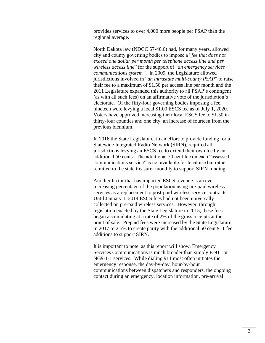provides services to over 4,000 more people per PSAP than the regional average.

North Dakota law (NDCC 57-40.6) had, for many years, allowed city and county governing bodies to impose a "*fee that does not exceed one dollar per month per telephone access line and per wireless access line*" for the support of "*an emergency services communications system"*. In 2009, the Legislature allowed jurisdictions involved in "*an intrastate multi-county PSAP*" to raise their fee to a maximum of \$1.50 per access line per month and the 2011 Legislature expanded this authority to all PSAP's contingent (as with all such fees) on an affirmative vote of the jurisdiction's electorate. Of the fifty-four governing bodies imposing a fee, nineteen were levying a local \$1.00 ESCS fee as of July 1, 2020. Voters have approved increasing their local ESCS fee to \$1.50 in thirty-four counties and one city, an increase of fourteen from the previous biennium.

In 2016 the State Legislature, in an effort to provide funding for a Statewide Integrated Radio Network (SIRN), required all jurisdictions levying an ESCS fee to extend their own fee by an additional 50 cents. The additional 50 cent fee on each "assessed communications service" is not available for local use but rather remitted to the state treasurer monthly to support SIRN funding.

Another factor that has impacted ESCS revenue is an everincreasing percentage of the population using pre-paid wireless services as a replacement to post-paid wireless service contracts. Until January 1, 2014 ESCS fees had not been universally collected on pre-paid wireless services. However, through legislation enacted by the State Legislature in 2015, these fees began accumulating at a rate of 2% of the gross receipts at the point of sale. Prepaid fees were increased by the State Legislature in 2017 to 2.5% to create parity with the additional 50 cent 911 fee additions to support SIRN.

It is important to note, as this report will show, Emergency Services Communications is much broader than simply E-911 or NG9-1-1 services. While dialing 911 most often initiates the emergency response, the day-by-day, hour-by-hour communications between dispatchers and responders, the ongoing contact during an emergency, location information, pre-arrival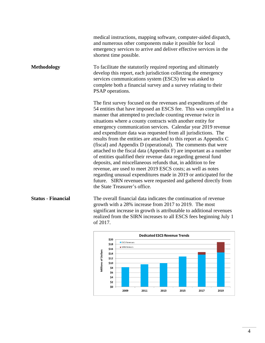|                           | <b>Dedicated ESCS Revenue Trends</b><br>\$20                                                                                                                                                                                                                                                                                                                                                                                                                                                                                                                                                                                                                                                                                                                                                                                                                                                                                                                                                    |
|---------------------------|-------------------------------------------------------------------------------------------------------------------------------------------------------------------------------------------------------------------------------------------------------------------------------------------------------------------------------------------------------------------------------------------------------------------------------------------------------------------------------------------------------------------------------------------------------------------------------------------------------------------------------------------------------------------------------------------------------------------------------------------------------------------------------------------------------------------------------------------------------------------------------------------------------------------------------------------------------------------------------------------------|
| <b>Status - Financial</b> | The overall financial data indicates the continuation of revenue<br>growth with a 28% increase from 2017 to 2019. The most<br>significant increase in growth is attributable to additional revenues<br>realized from the SIRN increases to all ESCS fees beginning July 1<br>of 2017.                                                                                                                                                                                                                                                                                                                                                                                                                                                                                                                                                                                                                                                                                                           |
|                           | The first survey focused on the revenues and expenditures of the<br>54 entities that have imposed an ESCS fee. This was compiled in a<br>manner that attempted to preclude counting revenue twice in<br>situations where a county contracts with another entity for<br>emergency communication services. Calendar year 2019 revenue<br>and expenditure data was requested from all jurisdictions. The<br>results from the entities are attached to this report as Appendix C<br>(fiscal) and Appendix D (operational). The comments that were<br>attached to the fiscal data (Appendix F) are important as a number<br>of entities qualified their revenue data regarding general fund<br>deposits, and miscellaneous refunds that, in addition to fee<br>revenue, are used to meet 2019 ESCS costs; as well as notes<br>regarding unusual expenditures made in 2019 or anticipated for the<br>future. SIRN revenues were requested and gathered directly from<br>the State Treasurer's office. |
| <b>Methodology</b>        | To facilitate the statutorily required reporting and ultimately<br>develop this report, each jurisdiction collecting the emergency<br>services communications system (ESCS) fee was asked to<br>complete both a financial survey and a survey relating to their<br>PSAP operations.                                                                                                                                                                                                                                                                                                                                                                                                                                                                                                                                                                                                                                                                                                             |
|                           | medical instructions, mapping software, computer-aided dispatch,<br>and numerous other components make it possible for local<br>emergency services to arrive and deliver effective services in the<br>shortest time possible.                                                                                                                                                                                                                                                                                                                                                                                                                                                                                                                                                                                                                                                                                                                                                                   |

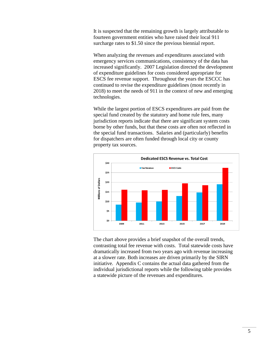It is suspected that the remaining growth is largely attributable to fourteen government entities who have raised their local 911 surcharge rates to \$1.50 since the previous biennial report.

When analyzing the revenues and expenditures associated with emergency services communications, consistency of the data has increased significantly. 2007 Legislation directed the development of expenditure guidelines for costs considered appropriate for ESCS fee revenue support. Throughout the years the ESCCC has continued to revise the expenditure guidelines (most recently in 2018) to meet the needs of 911 in the context of new and emerging technologies.

While the largest portion of ESCS expenditures are paid from the special fund created by the statutory and home rule fees, many jurisdiction reports indicate that there are significant system costs borne by other funds, but that these costs are often not reflected in the special fund transactions. Salaries and (particularly) benefits for dispatchers are often funded through local city or county property tax sources.



The chart above provides a brief snapshot of the overall trends, contrasting total fee revenue with costs. Total statewide costs have dramatically increased from two years ago with revenue increasing at a slower rate. Both increases are driven primarily by the SIRN initiative. Appendix C contains the actual data gathered from the individual jurisdictional reports while the following table provides a statewide picture of the revenues and expenditures.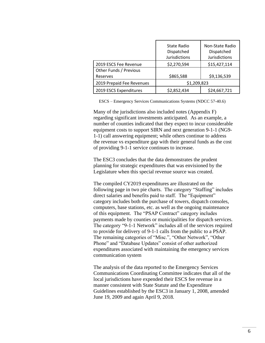|                           | State Radio<br>Dispatched<br>Jurisdictions | Non-State Radio<br>Dispatched<br><b>Jurisdictions</b> |  |  |
|---------------------------|--------------------------------------------|-------------------------------------------------------|--|--|
| 2019 ESCS Fee Revenue     | \$2,270,594                                | \$15,427,114                                          |  |  |
| Other Funds / Previous    |                                            |                                                       |  |  |
| Reserves                  | \$865,588                                  | \$9,136,539                                           |  |  |
| 2019 Prepaid Fee Revenues | \$1,209,823                                |                                                       |  |  |
| 2019 ESCS Expenditures    | \$2,852,434                                | \$24,667,721                                          |  |  |

ESCS – Emergency Services Communications Systems (NDCC 57-40.6)

Many of the jurisdictions also included notes (Appendix F) regarding significant investments anticipated. As an example, a number of counties indicated that they expect to incur considerable equipment costs to support SIRN and next generation 9-1-1 (NG9- 1-1) call answering equipment; while others continue to address the revenue vs expenditure gap with their general funds as the cost of providing 9-1-1 service continues to increase.

The ESC3 concludes that the data demonstrates the prudent planning for strategic expenditures that was envisioned by the Legislature when this special revenue source was created.

The compiled CY2019 expenditures are illustrated on the following page in two pie charts. The category "Staffing" includes direct salaries and benefits paid to staff. The "Equipment" category includes both the purchase of towers, dispatch consoles, computers, base stations, etc. as well as the ongoing maintenance of this equipment. The "PSAP Contract" category includes payments made by counties or municipalities for dispatch services. The category "9-1-1 Network" includes all of the services required to provide for delivery of 9-1-1 calls from the public to a PSAP. The remaining categories of "Misc.", "Other Network", "Other Phone" and "Database Updates" consist of other authorized expenditures associated with maintaining the emergency services communication system

The analysis of the data reported to the Emergency Services Communications Coordinating Committee indicates that all of the local jurisdictions have expended their ESCS fee revenue in a manner consistent with State Statute and the Expenditure Guidelines established by the ESC3 in January 1, 2008, amended June 19, 2009 and again April 9, 2018.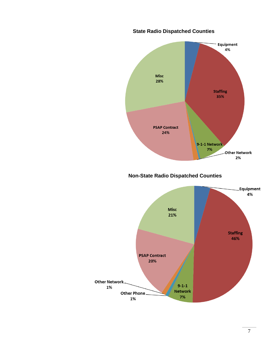

## **State Radio Dispatched Counties**

 **Non-State Radio Dispatched Counties**

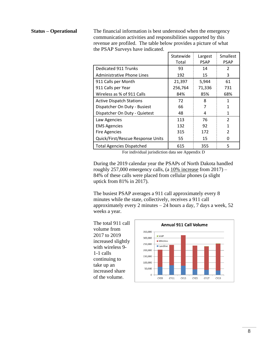**Status – Operational** The financial information is best understood when the emergency communication activities and responsibilities supported by this revenue are profiled. The table below provides a picture of what the PSAP Surveys have indicated.

|                                   | Statewide<br>Total | Largest<br><b>PSAP</b> | Smallest<br><b>PSAP</b> |
|-----------------------------------|--------------------|------------------------|-------------------------|
| <b>Dedicated 911 Trunks</b>       | 93                 | 14                     | $\mathcal{P}$           |
| Administrative Phone Lines        | 192                | 15                     | 3                       |
| 911 Calls per Month               | 21,397             | 5,944                  | 61                      |
| 911 Calls per Year                | 256,764            | 71,336                 | 731                     |
| Wireless as % of 911 Calls        | 84%                | 85%                    | 68%                     |
| <b>Active Dispatch Stations</b>   | 72                 | 8                      | 1                       |
| Dispatcher On Duty - Busiest      | 66                 | 7                      | 1                       |
| Dispatcher On Duty - Quietest     | 48                 | 4                      | 1                       |
| Law Agencies                      | 113                | 76                     | $\mathfrak{p}$          |
| <b>EMS Agencies</b>               | 132                | 92                     | 1                       |
| <b>Fire Agencies</b>              | 315                | 172                    | $\mathcal{P}$           |
| Quick/First/Rescue Response Units | 55                 | 15                     | O                       |
| <b>Total Agencies Dispatched</b>  | 615                | 355                    | 5                       |

For individual jurisdiction data see Appendix D

During the 2019 calendar year the PSAPs of North Dakota handled roughly 257,000 emergency calls, (a  $10\%$  increase from 2017) – 84% of these calls were placed from cellular phones (a slight uptick from 81% in 2017).

The busiest PSAP averages a 911 call approximately every 8 minutes while the state, collectively, receives a 911 call approximately every 2 minutes  $-24$  hours a day, 7 days a week, 52 weeks a year.

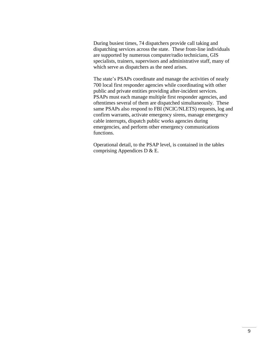During busiest times, 74 dispatchers provide call taking and dispatching services across the state. These front-line individuals are supported by numerous computer/radio technicians, GIS specialists, trainers, supervisors and administrative staff, many of which serve as dispatchers as the need arises.

The state's PSAPs coordinate and manage the activities of nearly 700 local first responder agencies while coordinating with other public and private entities providing after-incident services. PSAPs must each manage multiple first responder agencies, and oftentimes several of them are dispatched simultaneously. These same PSAPs also respond to FBI (NCIC/NLETS) requests, log and confirm warrants, activate emergency sirens, manage emergency cable interrupts, dispatch public works agencies during emergencies, and perform other emergency communications functions.

Operational detail, to the PSAP level, is contained in the tables comprising Appendices D & E.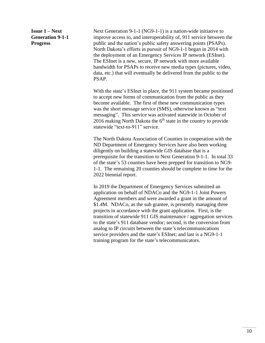**Issue 1 – Next Generation 9-1-1 Progress**

Next Generation 9-1-1 (NG9-1-1) is a nation-wide initiative to improve access to, and interoperability of, 911 service between the public and the nation's public safety answering points (PSAPs). North Dakota's efforts in pursuit of NG9-1-1 began in 2014 with the deployment of an Emergency Services IP network (ESInet). The ESInet is a new, secure, IP network with more available bandwidth for PSAPs to receive new media types (pictures, video, data, etc.) that will eventually be delivered from the public to the PSAP.

With the state's ESInet in place, the 911 system became positioned to accept new forms of communication from the public as they become available. The first of these new communication types was the short message service (SMS), otherwise known as "text messaging". This service was activated statewide in October of 2016 making North Dakota the  $6<sup>th</sup>$  state in the country to provide statewide "text-to-911" service.

The North Dakota Association of Counties in cooperation with the ND Department of Emergency Services have also been working diligently on building a statewide GIS database that is a prerequisite for the transition to Next Generation 9-1-1. In total 33 of the state's 53 counties have been prepped for transition to NG9- 1-1. The remaining 20 counties should be complete in time for the 2022 biennial report.

In 2019 the Department of Emergency Services submitted an application on behalf of NDACo and the NG9-1-1 Joint Powers Agreement members and were awarded a grant in the amount of \$1.4M. NDACo, as the sub grantee, is presently managing three projects in accordance with the grant application. First, is the transition of statewide 911 GIS maintenance / aggregation services to the state's 911 database vendor; second, is the conversion from analog to IP circuits between the state's telecommunications service providers and the state's ESInet; and last is a NG9-1-1 training program for the state's telecommunicators.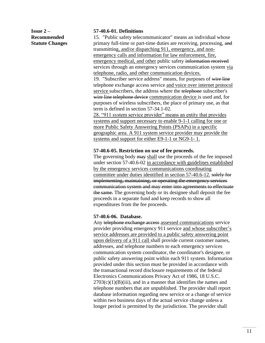**Issue 2 – Recommended Statute Changes**

### **57-40.6-01. Definitions**

15. "Public safety telecommunicator" means an individual whose primary full-time or part-time duties are receiving, processing, and transmitting, and/or dispatching 911, emergency, and nonemergency calls and information for law enforcement, fire, emergency medical, and other public safety information received services through an emergency services communication system via telephone, radio, and other communication devices.

19. "Subscriber service address" means, for purposes of wire line telephone exchange access service and voice over internet protocol service subscribers, the address where the telephone subscriber's wire line telephone device communication device is used and, for purposes of wireless subscribers, the place of primary use, as that term is defined in section 57-34.1-02.

28. "911 system service provider" means an entity that provides systems and support necessary to enable 9-1-1 calling for one or more Public Safety Answering Points (PSAPs) in a specific geographic area. A 911 system service provider may provide the systems and support for either E9-1-1 or NG9-1- 1.

#### **57-40.6-05. Restriction on use of fee proceeds.**

The governing body may shall use the proceeds of the fee imposed under section 57-40.6-02 in accordance with guidelines established by the emergency services communications coordinating committee under duties identified in section 57-40.6-12. solely for implementing, maintaining, or operating the emergency services communication system and may enter into agreements to effectuate the same. The governing body or its designee shall deposit the fee proceeds in a separate fund and keep records to show all expenditures from the fee proceeds.

### **57-40.6-06. Database.**

Any telephone exchange access assessed communications service provider providing emergency 911 service and whose subscriber's service addresses are provided to a public safety answering point upon delivery of a 911 call shall provide current customer names, addresses, and telephone numbers to each emergency services communication system coordinator, the coordinator's designee, or public safety answering point within each 911 system. Information provided under this section must be provided in accordance with the transactional record disclosure requirements of the federal Electronics Communications Privacy Act of 1986, 18 U.S.C.  $2703(c)(1)(B)(iii)$ , and in a manner that identifies the names and telephone numbers that are unpublished. The provider shall report database information regarding new service or a change of service within two business days of the actual service change unless a longer period is permitted by the jurisdiction. The provider shall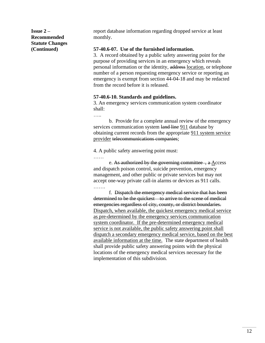**Issue 2 – Recommended Statute Changes (Continued)**

report database information regarding dropped service at least monthly.

### **57-40.6-07. Use of the furnished information.**

3. A record obtained by a public safety answering point for the purpose of providing services in an emergency which reveals personal information or the identity, address location, or telephone number of a person requesting emergency service or reporting an emergency is exempt from section 44-04-18 and may be redacted from the record before it is released.

### **57-40.6-10. Standards and guidelines.**

3. An emergency services communication system coordinator shall:

……

b. Provide for a complete annual review of the emergency services communication system land line 911 database by obtaining current records from the appropriate 911 system service provider telecommunications companies;

4. A public safety answering point must:

……

e. As authorized by the governing committee , a Access and dispatch poison control, suicide prevention, emergency management, and other public or private services but may not accept one-way private call-in alarms or devices as 911 calls. …….

f. Dispatch the emergency medical service that has been determined to be the quickest to arrive to the scene of medical emergencies regardless of city, county, or district boundaries. Dispatch, when available, the quickest emergency medical service as pre-determined by the emergency services communication system coordinator. If the pre-determined emergency medical service is not available, the public safety answering point shall dispatch a secondary emergency medical service, based on the best available information at the time. The state department of health shall provide public safety answering points with the physical locations of the emergency medical services necessary for the implementation of this subdivision.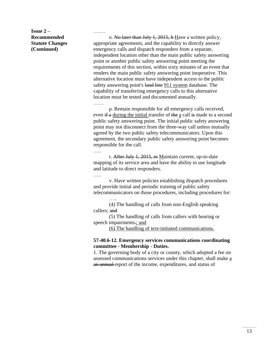**Issue 2 – Recommended Statute Changes (Continued)**

o. No later than July 1, 2015, h Have a written policy, appropriate agreements, and the capability to directly answer emergency calls and dispatch responders from a separate, independent location other than the main public safety answering point or another public safety answering point meeting the requirements of this section, within sixty minutes of an event that renders the main public safety answering point inoperative. This alternative location must have independent access to the public safety answering point's land line 911 system database. The capability of transferring emergency calls to this alternative location must be tested and documented annually.

……

…….

p. Remain responsible for all emergency calls received, even  $\frac{d}{dt}$  a during the initial transfer of the a call is made to a second public safety answering point. The initial public safety answering point may not disconnect from the three-way call unless mutually agreed by the two public safety telecommunicators. Upon this agreement, the secondary public safety answering point becomes responsible for the call.

….<br>……

r. After July 1, 2015, m Maintain current, up-to-date mapping of its service area and have the ability to use longitude and latitude to direct responders.

…..

….

v. Have written policies establishing dispatch procedures and provide initial and periodic training of public safety telecommunicators on those procedures, including procedures for:

(4) The handling of calls from non-English speaking callers; and

(5) The handling of calls from callers with hearing or speech impairments.; and

(6) The handling of text-initiated communications.

### **57-40.6-12. Emergency services communications coordinating committee - Membership - Duties.**

1. The governing body of a city or county, which adopted a fee on assessed communications services under this chapter, shall make a an annual report of the income, expenditures, and status of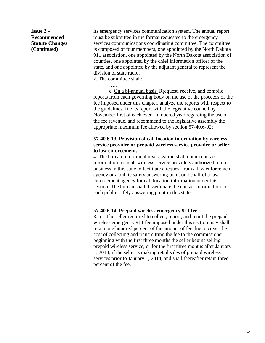**Issue 2 – Recommended Statute Changes (Continued)**

its emergency services communication system. The annual report must be submitted in the format requested to the emergency services communications coordinating committee. The committee is composed of four members, one appointed by the North Dakota 911 association, one appointed by the North Dakota association of counties, one appointed by the chief information officer of the state, and one appointed by the adjutant general to represent the division of state radio.

2. The committee shall:

….

c. On a bi-annual basis, Rrequest, receive, and compile reports from each governing body on the use of the proceeds of the fee imposed under this chapter, analyze the reports with respect to the guidelines, file its report with the legislative council by November first of each even-numbered year regarding the use of the fee revenue, and recommend to the legislative assembly the appropriate maximum fee allowed by section 57-40.6-02;

### **57-40.6-13. Provision of call location information by wireless service provider or prepaid wireless service provider or seller to law enforcement.**

4. The bureau of criminal investigation shall obtain contact information from all wireless service providers authorized to do business in this state to facilitate a request from a law enforcement agency or a public safety answering point on behalf of a law enforcement agency for call location information under this section. The bureau shall disseminate the contact information to each public safety answering point in this state.

### **57-40.6-14. Prepaid wireless emergency 911 fee.**

8. c. The seller required to collect, report, and remit the prepaid wireless emergency 911 fee imposed under this section may shall retain one hundred percent of the amount of fee due to cover the cost of collecting and transmitting the fee to the commissioner beginning with the first three months the seller begins selling prepaid wireless service, or for the first three months after January 1, 2014, if the seller is making retail sales of prepaid wireless services prior to January 1, 2014, and shall thereafter retain three percent of the fee.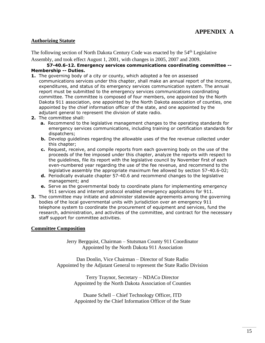## **Authorizing Statute**

The following section of North Dakota Century Code was enacted by the  $54<sup>th</sup>$  Legislative Assembly, and took effect August 1, 2001, with changes in 2005, 2007 and 2009.

### **57-40.6-12. Emergency services communications coordinating committee -- Membership -- Duties.**

- **1.** The governing body of a city or county, which adopted a fee on assessed communications services under this chapter, shall make an annual report of the income, expenditures, and status of its emergency services communication system. The annual report must be submitted to the emergency services communications coordinating committee. The committee is composed of four members, one appointed by the North Dakota 911 association, one appointed by the North Dakota association of counties, one appointed by the chief information officer of the state, and one appointed by the adjutant general to represent the division of state radio.
- **2.** The committee shall:
	- **a.** Recommend to the legislative management changes to the operating standards for emergency services communications, including training or certification standards for dispatchers;
	- **b.** Develop guidelines regarding the allowable uses of the fee revenue collected under this chapter;
	- **c.** Request, receive, and compile reports from each governing body on the use of the proceeds of the fee imposed under this chapter, analyze the reports with respect to the guidelines, file its report with the legislative council by November first of each even-numbered year regarding the use of the fee revenue, and recommend to the legislative assembly the appropriate maximum fee allowed by section 57-40.6-02;
	- **d.** Periodically evaluate chapter 57-40.6 and recommend changes to the legislative management; and
	- **e.** Serve as the governmental body to coordinate plans for implementing emergency 911 services and internet protocol enabled emergency applications for 911.
- **3.** The committee may initiate and administer statewide agreements among the governing bodies of the local governmental units with jurisdiction over an emergency 911 telephone system to coordinate the procurement of equipment and services, fund the research, administration, and activities of the committee, and contract for the necessary staff support for committee activities.

### **Committee Composition**

Jerry Bergquist, Chairman – Stutsman County 911 Coordinator Appointed by the North Dakota 911 Association

Dan Donlin, Vice Chairman – Director of State Radio Appointed by the Adjutant General to represent the State Radio Division

> Terry Traynor, Secretary – NDACo Director Appointed by the North Dakota Association of Counties

> Duane Schell – Chief Technology Officer, ITD Appointed by the Chief Information Officer of the State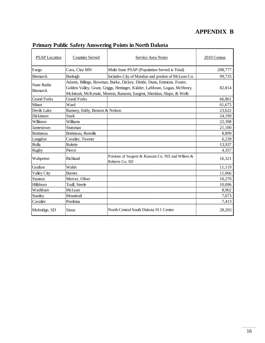## **APPENDIX B**

٦

| <b>PSAP</b> Location                  | <b>Counties Served</b>        | Service Area Notes                                                                                                                                                                                                          | 2010 Census |
|---------------------------------------|-------------------------------|-----------------------------------------------------------------------------------------------------------------------------------------------------------------------------------------------------------------------------|-------------|
| Fargo                                 | Cass, Clay MN                 | Multi-State PSAP (Population Served is Total)                                                                                                                                                                               | 208,777     |
| <b>Bismarck</b>                       | Burleigh                      | Includes City of Mandan and portion of McLean Co.                                                                                                                                                                           | 99,733      |
| <b>State Radio</b><br><b>Bismarck</b> |                               | Adams, Billings, Bowman, Burke, Dickey, Divide, Dunn, Emmons, Foster,<br>Golden Valley, Grant, Griggs, Hettinger, Kidder, LaMoure, Logan, McHenry,<br>McIntosh, McKenzie, Morton, Ransom, Sargent, Sheridan, Slope, & Wells | 82,814      |
| <b>Grand Forks</b>                    | <b>Grand Forks</b>            |                                                                                                                                                                                                                             | 66,861      |
| Minot                                 | Ward                          |                                                                                                                                                                                                                             | 61,675      |
| Devils Lake                           | Ramsey, Eddy, Benson & Nelson |                                                                                                                                                                                                                             | 23,622      |
| Dickinson                             | <b>Stark</b>                  |                                                                                                                                                                                                                             | 24,199      |
| Williston                             | Williams                      |                                                                                                                                                                                                                             | 22,398      |
| Jamestown                             | Stutsman                      |                                                                                                                                                                                                                             | 21,100      |
| Bottineau                             | Bottineau, Renville           |                                                                                                                                                                                                                             | 8,899       |
| Langdon                               | Cavalier, Towner              |                                                                                                                                                                                                                             | 6,239       |
| Rolla                                 | Rolette                       |                                                                                                                                                                                                                             | 13,937      |
| Rugby                                 | Pierce                        |                                                                                                                                                                                                                             | 4,357       |
| Wahpeton                              | Richland                      | Portions of Sargent & Ransom Co. ND and Wilken &<br>Roberts Co. SD                                                                                                                                                          | 16,321      |
| Grafton                               | Walsh                         |                                                                                                                                                                                                                             | 11,119      |
| Valley City                           | <b>Barnes</b>                 |                                                                                                                                                                                                                             | 11,066      |
| Stanton                               | Mercer, Oliver                |                                                                                                                                                                                                                             | 10,270      |
| Hillsboro                             | Traill, Steele                |                                                                                                                                                                                                                             | 10,096      |
| Washburn                              | McLean                        |                                                                                                                                                                                                                             | 8,962       |
| Stanley                               | Mountrail                     |                                                                                                                                                                                                                             | 7,673       |
| Cavalier                              | Pembina                       |                                                                                                                                                                                                                             | 7,413       |
| Mobridge, SD                          | <b>Sioux</b>                  | North Central South Dakota 911 Center                                                                                                                                                                                       | 28,203      |

## **Primary Public Safety Answering Points in North Dakota**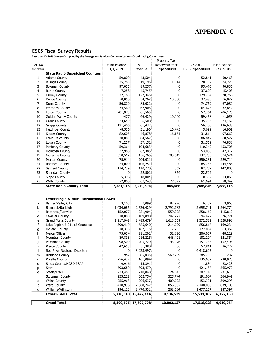## **APPENDIX C**

## **ESCS Fiscal Survey Results**

**Based on CY 2019 Survey Compiled by the Emergency Services Communications Coordinating Committee**

|           |                                                      |                    |                      | Property Tax   |                          |                  |
|-----------|------------------------------------------------------|--------------------|----------------------|----------------|--------------------------|------------------|
| Ref. No.  |                                                      | Fund Balance       | 911                  | Reserves/Other | CY2019                   | Fund Balance     |
| for Notes |                                                      | 1/1/2019           | Revenue              | Expenditures   | <b>ESCS Expenditures</b> | 12/31/2019       |
|           | <b>State Radio Dispatched Counties</b>               |                    |                      |                |                          |                  |
| 1         | Adams County                                         | 59,800             | 43,504               | 0              | 52,841                   | 50,463           |
| 2         | <b>Billings County</b>                               | 25,785             | 19,195               | 1,014          | 20,752                   | 24,228           |
| 3         | <b>Bowman County</b>                                 | 97,055             | 89,257               | 0              | 95,476                   | 90,836           |
| 4         | <b>Burke County</b>                                  | 7,258              | 45,745               | 0              | 37,600                   | 15,403           |
| 5         | <b>Dickey County</b>                                 | 72,165             | 127,345              | 0              | 129,254                  | 70,256           |
| 6         | Divide County                                        | 70,058             | 34,262               | 10,000         | 37,493                   | 76,827           |
| 7         | Dunn County                                          | 56,829             | 85,022               | 0              | 74,769                   | 67,082           |
| 8         | <b>Emmons County</b>                                 | 34,560             | 62,905               | 0              | 64,623                   | 32,842           |
| 9         | <b>Foster County</b>                                 | 201,975            | 61,565               | 0!             | 57,364                   | 206,176          |
| 10        | Golden Valley County                                 | $-477!$            | 46,429               | 10,000         | 59,458                   | $-1,053$         |
| 11        | <b>Grant County</b>                                  | 73,659             | 36,508               | 0              | 35,704                   | 74,462           |
| 12        | <b>Griggs County</b>                                 | 131,406            | 61,432               | 0              | 56,200                   | 136,638          |
| 13        | Hettinger County                                     | $-8,536$           | 31,196               | 16,445         | 5,699                    | 16,961           |
| 14        | Kidder County                                        | 82,605             | 46,878               | 16,161         | 31,814                   | 97,669           |
| 15        | LaMoure county                                       | 70,803             | 84,567               | 0:             | 86,842                   | 68,527           |
| 16        | Logan County                                         | 71,257             | 37,152               | 0              | 31,569                   | 76,838           |
| 17        | McHenry County                                       | 459,364            | 104,683              | 40             | 110,342                  | 453,705          |
| 18        | McIntosh County                                      | 32,988             | 67,385               | 0              | 53,056                   | 47,317           |
| 19        | McKenzie County                                      | 350,512            | 156,765              | 783,619        | 132,753                  | 374,524          |
|           |                                                      | 75,914             |                      | 0              |                          | 229,714          |
| 20        | Morton County                                        |                    | 704,031              |                | 550,231                  |                  |
| 21        | Ransom County                                        | 424,000<br>114,739 | 106,251              | 0              | 85,765                   | 444,486          |
| 22        | Sargent County                                       |                    | 110,770              | 569            | 82,709                   | 142,800          |
| 23        | Sheridan County                                      | 0:                 | 22,502               | 364            | 22,502                   | 0                |
| 24<br>25  | Slope County<br><b>Wells County</b>                  | 5,396<br>72,800    | 18,004<br>67,243     | 0<br>27,377    | 10,337<br>61,694         | 13,063<br>78,349 |
|           |                                                      |                    |                      |                |                          |                  |
|           |                                                      |                    |                      |                |                          |                  |
|           | <b>State Radio County Total</b>                      | 2,581,915          | 2,270,594            | 865,588        | 1,986,846                | 2,888,115        |
|           |                                                      |                    |                      |                |                          |                  |
|           |                                                      |                    |                      |                |                          |                  |
|           | <b>Other Single &amp; Multi-Jurisdictional PSAPs</b> |                    |                      |                |                          |                  |
| а         | Barnes/Valley City                                   | 3,103              | 7,099                | 82,926         | 6,239                    | 3,963            |
| b         | Bismarck/Burleigh                                    | 1,434,086          | 2,526,429            | 2,792,782      | 2,695,741                | 1,264,774        |
| C         | Bottineau/Renville                                   | 152,077            | 221,904              | 550,228        | 258,162                  | 115,819          |
| d         | <b>Cavalier County</b>                               | 310,800            | 109,898              | 247,227        | 94,427                   | 326,271          |
| е         | <b>Grand Forks County</b>                            | 1,217,941          | 1,483,479            | 1,618,559      | 1,372,522                | 1,328,898        |
| f         | Lake Region E-911 (5 Counties)                       | 390,410            | 585,640              | 214,729        | 856,817                  | 169,234          |
| g         | McLean County                                        | 18,318             | 167,115              | 7,235          | 122,064                  | 63,369           |
| h         | Mercer/Oliver                                        | 75,034             | 211,202              | 32,826         | 206,007                  | 48,229           |
| Ť         | Mountrail County                                     | 89,833             | 214,225              | 648,421        | 182,204                  | 121,854          |
| j         | Pembina County                                       | 98,509             | 205,729              | 193,976        | 151,743                  | 152,495          |
| k         | <b>Pierce County</b>                                 | 42,658             | 51,380               | 36             | 57,811                   | 36,227           |
|           | Red River Regional Dispatch                          | 0!                 | 3,928,997            | 0 <sub>1</sub> | 4,418,605                | 0                |
| m         | Richland County                                      | 9521               | 385,035}             | 569,799        | 385,750                  |                  |
| n         | <b>Rolette County</b>                                | $-56,432$          | 161,094              | 0              | 135,632                  | 237<br>$-30,970$ |
| o         | Sioux County/NCSD PSAP                               | 9,916              | 15,391               | $\overline{0}$ | 1,884                    | 23,423           |
| p         | <b>Stark</b>                                         | 593,680            | 393,479              | 0              | 421,187                  | 565,972          |
| q         | Steele/Traill                                        | 223,483            | 210,848              | 124,643        | 202,716                  | 231,615          |
| r         | <b>Stutsman County</b>                               | 253,221            | 302,754              | 525,744        | 191,034                  | 364,941          |
| s         | <b>Walsh County</b>                                  | 255,963            | 206,637              | 409,792        | 153,301                  | 309,298          |
| t         | <b>Ward County</b>                                   | 410,936            | 2,568,247            | 856,032        | 2,140,080                | 839,103          |
| u         | Williams/Williston                                   | 194,123            | 1,470,531            | 261,584        | 1,477,257                | 187,397          |
|           | <b>Other PSAPs Total</b>                             |                    | 5,718,610 15,427,114 |                |                          |                  |
|           |                                                      |                    |                      | 9,136,539      | 15,531,182               | 6,122,150        |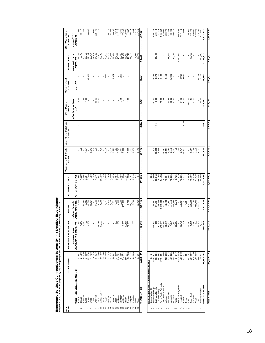| 5,158,876<br>4,579<br>904,459<br>167,413<br>2,064<br>20,743<br>36,466<br>63,006<br>113,302<br>193,256<br>671,085<br>17,706<br>8,147<br>37,382<br>6,686<br>$468$<br>22,135<br>1,220<br>16,776<br>$\begin{array}{l} 13.754 \\ 13.728 \\ 15.728 \\ 16.739 \\ 17.89 \\ 18.90 \\ 19.74 \\ 19.74 \\ 19.74 \\ 19.74 \\ 19.74 \\ 19.74 \\ 19.74 \\ 19.74 \\ 19.74 \\ 19.74 \\ 19.74 \\ 19.74 \\ 19.74 \\ 19.74 \\ 19.74 \\ 19.74 \\ 19.74 \\ 19.74 \\ 19.74 \\ 19.75 \\ 19.75 \\ 19.75 \\ 19.75 \\ 19.75$<br>30,729<br>787,054<br>880,733<br>$\frac{22}{1.822}$<br>16,403<br>30,432<br>364<br>ï<br>$\mathbf{r}=\mathbf{r}$<br>as per ESC3<br>guldelines<br>3,236,913<br>12,000<br>812,815<br>14,177<br>40,766<br>5,085<br>27,400<br>28,567<br>46,782<br>9,143<br>26,156<br>25,125<br>20,850<br>97,891<br>63,037<br>41,772<br>19,273<br>26,424<br>682,694<br>31,751<br>4.104, 47<br>4.847,171<br>state radio, lake<br>region, etc.<br>970<br>31,903<br>8,354<br>65,619<br>299<br>3,459<br>$1,901$<br>4,480<br>57,268<br>6.169<br>253,549<br>41.525<br>88,882<br>12,870<br>5,100<br>5,100<br>295.074<br>$\bar{1}$<br>Ŷ,<br>Î,<br>$\bar{t}$<br>$\sim$<br>$\bar{ }$<br>$\blacksquare$<br>ITD, etc.<br>168,515<br>77.00<br>36,310<br>695<br>8,909<br>665<br>$\begin{array}{c}\n 393 \\  488 \\  +0.06 \\  +0.07 \\  +0.097\n\end{array}$<br>12,309<br>262<br>$\begin{array}{c} 1,027 \\ 1,839 \\ 6,250 \end{array}$<br>$1,413$<br>4,736<br>65,590<br>158,552<br>9,963<br>45<br>9,167<br>administrative lines,<br>etc.<br>6,150<br>23,868<br>$\frac{5}{3}$<br>15,481<br>2257<br>2,237<br>301.563<br>6,543<br>960<br>900<br>.80<br>3,600<br>2,772<br>252<br>3,600<br>30,075<br>8,368<br>3,314<br>9,311<br>3,324<br>720<br>4,504<br>5,617<br>3,441<br>3,222<br>7,223<br>3,109<br>5,469<br>58,136<br>5,280<br>3,589<br>8,672<br>$\frac{8}{3}$<br>44,787<br>6,551<br>20,117<br>9,451<br>7,982<br>58,541<br>243.427<br>-<br>26,981<br>$\bar{1}$<br>$\bar{\bar{1}}$<br>$\bar{1}$<br>$\epsilon$<br>$\epsilon$<br>î,<br>$1333$<br>$1338$<br>$125$<br>$125$<br>$125$<br>$125$<br>$125$<br>$125$<br>$125$<br>$125$<br>$125$<br>38,445<br>10,703<br>22,616<br>48,444<br>48,444<br>50,188<br>396<br>93,889<br>36,012<br>8,355<br>318,693<br>13,919<br>54,483<br>29,111<br>1,363,909<br>145,216<br>674<br>4,154<br>NDACO NON OPA<br>$\begin{smallmatrix} 1.7000 \\ 1.7000 \\ 1.7000 \\ 1.7000 \\ 1.7000 \\ 1.7000 \\ 1.7000 \\ 1.7000 \\ 1.7000 \\ 1.7000 \\ 1.7000 \\ 1.7000 \\ 1.7000 \\ 1.7000 \\ 1.7000 \\ 1.7000 \\ 1.7000 \\ 1.7000 \\ 1.7000 \\ 1.7000 \\ 1.7000 \\ 1.7000 \\ 1.7000 \\ 1.7000 \\ 1.7000 \\ 1.7000 \\ 1.700$<br>22,656<br>216,896<br>8,246<br>$\frac{9,707,54}{9,707,54}$<br>10,673.699<br>7,006<br>767,288<br>966,115<br>260,035<br>235,895<br>639,348<br>20,780<br>3,182<br>40,800<br>6,500<br>14,033<br>7,500<br>16,967<br>255,196<br>1,428,460<br>730,104<br>61,601<br>1,884<br>419,409<br>332,317<br>10,124<br>641,164<br>641,561<br>salarles, benefits,<br>5,354<br>2,086,581<br>payroll taxes, etc.<br>maintenance, support, etc.<br>1,774<br>1,343<br>ŏ<br>4,201<br>14,772<br>37,582<br>ៈ នី នី<br>$9,500$ $0,481$ $26,538$<br>788<br>216,347<br><b>879</b><br>37,191<br>329,506<br>210,632<br>10,664<br>20,000<br>1,930<br>35,815<br>35,815<br>19,761<br>1,562<br>36,373<br>6,471<br>3,176<br>236<br>$\frac{10,254}{1,550}$<br>115,56<br>1,058,91<br>$\alpha=0$<br>ł<br>ł<br>ł<br>purchase, lease,<br>53,056<br>4,418,605<br>47,975<br>31,569<br>916,372<br>550,231<br>85,765<br>83,278<br>1,071,546<br>129,299<br>238,832<br>830,625<br>955,548<br>135,632<br>327,359<br>716,778<br>563,093<br>ខេត្ត<br>ក្នុង ឆ្នូ ខេត្ត<br>ក្នុង ឆ្នូ ខេត្ត<br>22,143<br>86,842<br>22,866<br>345,720<br>57,847<br>421, 187<br>2,996,112<br>1,738,841<br>95,476<br>37,600<br>47,493<br>110,381<br>10,337<br>89,071<br>2,852,434<br>5,488,523<br>808,390<br>341,654<br>1,884<br>27,520,154<br>52,841<br>21,766<br>129,254<br>89,164<br>2,991,081<br>24,667,721<br>Other Single & Multi-Jurisdictional PSAPs<br><b>State Radio Dispatched Counties</b><br>Grand Forks Authority<br>Other PSAPs Total<br>Red River Regional<br>Lake Region 6-Co<br>Bottineau/Renville<br><b>SR County Total</b><br>Barnes/Valley City<br>Bismarck/Burleigh<br>Williams/Williston<br>Cavalier County<br>Golden Valley<br><b>Grand Total</b><br>Mercer/Olive<br>Steele/Trail<br>McKenzie<br>Stutsman<br>Hettinger<br>Mountrail<br>Emmons<br>McIntosh<br>Sheridan<br>LaMoure<br>McHenry<br>Pembina<br>Richland<br>Bowman<br>Ransom<br>Sargent<br>McLean<br>Rolette<br>Morton<br>Adams<br>Billings<br>Griggs<br>Dickey<br>Foster<br>Kidder<br>Logan<br>Pierce<br>Walsh<br>Divide<br>Burke<br>Grant<br>Slope<br>Dunn<br>Sioux<br>Stark<br>Wells<br>Ward<br>$\overline{\omega}$<br>$\underline{\circ}$<br>$\overline{a}$<br>$\overline{\mathbf{C}}$<br>$\mathbf{r}$<br>호<br>$\overline{8}$<br><b>P</b> 8<br>ភ្លងនិង<br>0<br>Ε | Ref. No.<br>Ior Notes | CY2019 Expend | <b>Communications Equipment</b> | Staffing | 911 Network Costs: | Other Local 911 Trunk<br>Charges | <b>Local Phone Database</b><br>Updates | Other Phone<br>Charges | <b>Other Network</b><br>Charges | PSAP Contract | Other Operational<br>Expenses |
|--------------------------------------------------------------------------------------------------------------------------------------------------------------------------------------------------------------------------------------------------------------------------------------------------------------------------------------------------------------------------------------------------------------------------------------------------------------------------------------------------------------------------------------------------------------------------------------------------------------------------------------------------------------------------------------------------------------------------------------------------------------------------------------------------------------------------------------------------------------------------------------------------------------------------------------------------------------------------------------------------------------------------------------------------------------------------------------------------------------------------------------------------------------------------------------------------------------------------------------------------------------------------------------------------------------------------------------------------------------------------------------------------------------------------------------------------------------------------------------------------------------------------------------------------------------------------------------------------------------------------------------------------------------------------------------------------------------------------------------------------------------------------------------------------------------------------------------------------------------------------------------------------------------------------------------------------------------------------------------------------------------------------------------------------------------------------------------------------------------------------------------------------------------------------------------------------------------------------------------------------------------------------------------------------------------------------------------------------------------------------------------------------------------------------------------------------------------------------------------------------------------------------------------------------------------------------------------------------------------------------------------------------------------------------------------------------------------------------------------------------------------------------------------------------------------------------------------------------------------------------------------------------------------------------------------------------------------------------------------------------------------------------------------------------------------------------------------------------------------------------------------------------------------------------------------------------------------------------------------------------------------------------------------------------------------------------------------------------------------------------------------------------------------------------------------------------------------------------------------------------------------------------------------------------------------------------------------------------------------------------------------------------------------------------------------------------------------------------------------------------------------------------------------------------------------------------------------------------------------------------------------------------------------------------------------------------------------------------------------------------------------------------------------------------------------------------------------------------------------------------------------------------------------------------------------------------------------------------------------------------------------------------------------------------------------------------------------------------------------------------------------------------------------------------------------------------------------------------------------------------------------------------------------------------------------------------------------------------------------------------------------------------------------------------------------------------------------------------------------------------------------------------------------------------------------------------------------------------------------------------------------------|-----------------------|---------------|---------------------------------|----------|--------------------|----------------------------------|----------------------------------------|------------------------|---------------------------------|---------------|-------------------------------|
|                                                                                                                                                                                                                                                                                                                                                                                                                                                                                                                                                                                                                                                                                                                                                                                                                                                                                                                                                                                                                                                                                                                                                                                                                                                                                                                                                                                                                                                                                                                                                                                                                                                                                                                                                                                                                                                                                                                                                                                                                                                                                                                                                                                                                                                                                                                                                                                                                                                                                                                                                                                                                                                                                                                                                                                                                                                                                                                                                                                                                                                                                                                                                                                                                                                                                                                                                                                                                                                                                                                                                                                                                                                                                                                                                                                                                                                                                                                                                                                                                                                                                                                                                                                                                                                                                                                                                                                                                                                                                                                                                                                                                                                                                                                                                                                                                                                                                            |                       |               |                                 |          |                    |                                  |                                        |                        |                                 |               |                               |
|                                                                                                                                                                                                                                                                                                                                                                                                                                                                                                                                                                                                                                                                                                                                                                                                                                                                                                                                                                                                                                                                                                                                                                                                                                                                                                                                                                                                                                                                                                                                                                                                                                                                                                                                                                                                                                                                                                                                                                                                                                                                                                                                                                                                                                                                                                                                                                                                                                                                                                                                                                                                                                                                                                                                                                                                                                                                                                                                                                                                                                                                                                                                                                                                                                                                                                                                                                                                                                                                                                                                                                                                                                                                                                                                                                                                                                                                                                                                                                                                                                                                                                                                                                                                                                                                                                                                                                                                                                                                                                                                                                                                                                                                                                                                                                                                                                                                                            |                       |               |                                 |          |                    |                                  |                                        |                        |                                 |               |                               |
|                                                                                                                                                                                                                                                                                                                                                                                                                                                                                                                                                                                                                                                                                                                                                                                                                                                                                                                                                                                                                                                                                                                                                                                                                                                                                                                                                                                                                                                                                                                                                                                                                                                                                                                                                                                                                                                                                                                                                                                                                                                                                                                                                                                                                                                                                                                                                                                                                                                                                                                                                                                                                                                                                                                                                                                                                                                                                                                                                                                                                                                                                                                                                                                                                                                                                                                                                                                                                                                                                                                                                                                                                                                                                                                                                                                                                                                                                                                                                                                                                                                                                                                                                                                                                                                                                                                                                                                                                                                                                                                                                                                                                                                                                                                                                                                                                                                                                            |                       |               |                                 |          |                    |                                  |                                        |                        |                                 |               |                               |
|                                                                                                                                                                                                                                                                                                                                                                                                                                                                                                                                                                                                                                                                                                                                                                                                                                                                                                                                                                                                                                                                                                                                                                                                                                                                                                                                                                                                                                                                                                                                                                                                                                                                                                                                                                                                                                                                                                                                                                                                                                                                                                                                                                                                                                                                                                                                                                                                                                                                                                                                                                                                                                                                                                                                                                                                                                                                                                                                                                                                                                                                                                                                                                                                                                                                                                                                                                                                                                                                                                                                                                                                                                                                                                                                                                                                                                                                                                                                                                                                                                                                                                                                                                                                                                                                                                                                                                                                                                                                                                                                                                                                                                                                                                                                                                                                                                                                                            |                       |               |                                 |          |                    |                                  |                                        |                        |                                 |               |                               |
|                                                                                                                                                                                                                                                                                                                                                                                                                                                                                                                                                                                                                                                                                                                                                                                                                                                                                                                                                                                                                                                                                                                                                                                                                                                                                                                                                                                                                                                                                                                                                                                                                                                                                                                                                                                                                                                                                                                                                                                                                                                                                                                                                                                                                                                                                                                                                                                                                                                                                                                                                                                                                                                                                                                                                                                                                                                                                                                                                                                                                                                                                                                                                                                                                                                                                                                                                                                                                                                                                                                                                                                                                                                                                                                                                                                                                                                                                                                                                                                                                                                                                                                                                                                                                                                                                                                                                                                                                                                                                                                                                                                                                                                                                                                                                                                                                                                                                            |                       |               |                                 |          |                    |                                  |                                        |                        |                                 |               |                               |
|                                                                                                                                                                                                                                                                                                                                                                                                                                                                                                                                                                                                                                                                                                                                                                                                                                                                                                                                                                                                                                                                                                                                                                                                                                                                                                                                                                                                                                                                                                                                                                                                                                                                                                                                                                                                                                                                                                                                                                                                                                                                                                                                                                                                                                                                                                                                                                                                                                                                                                                                                                                                                                                                                                                                                                                                                                                                                                                                                                                                                                                                                                                                                                                                                                                                                                                                                                                                                                                                                                                                                                                                                                                                                                                                                                                                                                                                                                                                                                                                                                                                                                                                                                                                                                                                                                                                                                                                                                                                                                                                                                                                                                                                                                                                                                                                                                                                                            |                       |               |                                 |          |                    |                                  |                                        |                        |                                 |               |                               |
|                                                                                                                                                                                                                                                                                                                                                                                                                                                                                                                                                                                                                                                                                                                                                                                                                                                                                                                                                                                                                                                                                                                                                                                                                                                                                                                                                                                                                                                                                                                                                                                                                                                                                                                                                                                                                                                                                                                                                                                                                                                                                                                                                                                                                                                                                                                                                                                                                                                                                                                                                                                                                                                                                                                                                                                                                                                                                                                                                                                                                                                                                                                                                                                                                                                                                                                                                                                                                                                                                                                                                                                                                                                                                                                                                                                                                                                                                                                                                                                                                                                                                                                                                                                                                                                                                                                                                                                                                                                                                                                                                                                                                                                                                                                                                                                                                                                                                            |                       |               |                                 |          |                    |                                  |                                        |                        |                                 |               |                               |
|                                                                                                                                                                                                                                                                                                                                                                                                                                                                                                                                                                                                                                                                                                                                                                                                                                                                                                                                                                                                                                                                                                                                                                                                                                                                                                                                                                                                                                                                                                                                                                                                                                                                                                                                                                                                                                                                                                                                                                                                                                                                                                                                                                                                                                                                                                                                                                                                                                                                                                                                                                                                                                                                                                                                                                                                                                                                                                                                                                                                                                                                                                                                                                                                                                                                                                                                                                                                                                                                                                                                                                                                                                                                                                                                                                                                                                                                                                                                                                                                                                                                                                                                                                                                                                                                                                                                                                                                                                                                                                                                                                                                                                                                                                                                                                                                                                                                                            |                       |               |                                 |          |                    |                                  |                                        |                        |                                 |               |                               |
|                                                                                                                                                                                                                                                                                                                                                                                                                                                                                                                                                                                                                                                                                                                                                                                                                                                                                                                                                                                                                                                                                                                                                                                                                                                                                                                                                                                                                                                                                                                                                                                                                                                                                                                                                                                                                                                                                                                                                                                                                                                                                                                                                                                                                                                                                                                                                                                                                                                                                                                                                                                                                                                                                                                                                                                                                                                                                                                                                                                                                                                                                                                                                                                                                                                                                                                                                                                                                                                                                                                                                                                                                                                                                                                                                                                                                                                                                                                                                                                                                                                                                                                                                                                                                                                                                                                                                                                                                                                                                                                                                                                                                                                                                                                                                                                                                                                                                            |                       |               |                                 |          |                    |                                  |                                        |                        |                                 |               |                               |
|                                                                                                                                                                                                                                                                                                                                                                                                                                                                                                                                                                                                                                                                                                                                                                                                                                                                                                                                                                                                                                                                                                                                                                                                                                                                                                                                                                                                                                                                                                                                                                                                                                                                                                                                                                                                                                                                                                                                                                                                                                                                                                                                                                                                                                                                                                                                                                                                                                                                                                                                                                                                                                                                                                                                                                                                                                                                                                                                                                                                                                                                                                                                                                                                                                                                                                                                                                                                                                                                                                                                                                                                                                                                                                                                                                                                                                                                                                                                                                                                                                                                                                                                                                                                                                                                                                                                                                                                                                                                                                                                                                                                                                                                                                                                                                                                                                                                                            |                       |               |                                 |          |                    |                                  |                                        |                        |                                 |               |                               |
|                                                                                                                                                                                                                                                                                                                                                                                                                                                                                                                                                                                                                                                                                                                                                                                                                                                                                                                                                                                                                                                                                                                                                                                                                                                                                                                                                                                                                                                                                                                                                                                                                                                                                                                                                                                                                                                                                                                                                                                                                                                                                                                                                                                                                                                                                                                                                                                                                                                                                                                                                                                                                                                                                                                                                                                                                                                                                                                                                                                                                                                                                                                                                                                                                                                                                                                                                                                                                                                                                                                                                                                                                                                                                                                                                                                                                                                                                                                                                                                                                                                                                                                                                                                                                                                                                                                                                                                                                                                                                                                                                                                                                                                                                                                                                                                                                                                                                            |                       |               |                                 |          |                    |                                  |                                        |                        |                                 |               |                               |
|                                                                                                                                                                                                                                                                                                                                                                                                                                                                                                                                                                                                                                                                                                                                                                                                                                                                                                                                                                                                                                                                                                                                                                                                                                                                                                                                                                                                                                                                                                                                                                                                                                                                                                                                                                                                                                                                                                                                                                                                                                                                                                                                                                                                                                                                                                                                                                                                                                                                                                                                                                                                                                                                                                                                                                                                                                                                                                                                                                                                                                                                                                                                                                                                                                                                                                                                                                                                                                                                                                                                                                                                                                                                                                                                                                                                                                                                                                                                                                                                                                                                                                                                                                                                                                                                                                                                                                                                                                                                                                                                                                                                                                                                                                                                                                                                                                                                                            |                       |               |                                 |          |                    |                                  |                                        |                        |                                 |               |                               |
|                                                                                                                                                                                                                                                                                                                                                                                                                                                                                                                                                                                                                                                                                                                                                                                                                                                                                                                                                                                                                                                                                                                                                                                                                                                                                                                                                                                                                                                                                                                                                                                                                                                                                                                                                                                                                                                                                                                                                                                                                                                                                                                                                                                                                                                                                                                                                                                                                                                                                                                                                                                                                                                                                                                                                                                                                                                                                                                                                                                                                                                                                                                                                                                                                                                                                                                                                                                                                                                                                                                                                                                                                                                                                                                                                                                                                                                                                                                                                                                                                                                                                                                                                                                                                                                                                                                                                                                                                                                                                                                                                                                                                                                                                                                                                                                                                                                                                            |                       |               |                                 |          |                    |                                  |                                        |                        |                                 |               |                               |
|                                                                                                                                                                                                                                                                                                                                                                                                                                                                                                                                                                                                                                                                                                                                                                                                                                                                                                                                                                                                                                                                                                                                                                                                                                                                                                                                                                                                                                                                                                                                                                                                                                                                                                                                                                                                                                                                                                                                                                                                                                                                                                                                                                                                                                                                                                                                                                                                                                                                                                                                                                                                                                                                                                                                                                                                                                                                                                                                                                                                                                                                                                                                                                                                                                                                                                                                                                                                                                                                                                                                                                                                                                                                                                                                                                                                                                                                                                                                                                                                                                                                                                                                                                                                                                                                                                                                                                                                                                                                                                                                                                                                                                                                                                                                                                                                                                                                                            |                       |               |                                 |          |                    |                                  |                                        |                        |                                 |               |                               |
|                                                                                                                                                                                                                                                                                                                                                                                                                                                                                                                                                                                                                                                                                                                                                                                                                                                                                                                                                                                                                                                                                                                                                                                                                                                                                                                                                                                                                                                                                                                                                                                                                                                                                                                                                                                                                                                                                                                                                                                                                                                                                                                                                                                                                                                                                                                                                                                                                                                                                                                                                                                                                                                                                                                                                                                                                                                                                                                                                                                                                                                                                                                                                                                                                                                                                                                                                                                                                                                                                                                                                                                                                                                                                                                                                                                                                                                                                                                                                                                                                                                                                                                                                                                                                                                                                                                                                                                                                                                                                                                                                                                                                                                                                                                                                                                                                                                                                            |                       |               |                                 |          |                    |                                  |                                        |                        |                                 |               |                               |
|                                                                                                                                                                                                                                                                                                                                                                                                                                                                                                                                                                                                                                                                                                                                                                                                                                                                                                                                                                                                                                                                                                                                                                                                                                                                                                                                                                                                                                                                                                                                                                                                                                                                                                                                                                                                                                                                                                                                                                                                                                                                                                                                                                                                                                                                                                                                                                                                                                                                                                                                                                                                                                                                                                                                                                                                                                                                                                                                                                                                                                                                                                                                                                                                                                                                                                                                                                                                                                                                                                                                                                                                                                                                                                                                                                                                                                                                                                                                                                                                                                                                                                                                                                                                                                                                                                                                                                                                                                                                                                                                                                                                                                                                                                                                                                                                                                                                                            |                       |               |                                 |          |                    |                                  |                                        |                        |                                 |               |                               |
|                                                                                                                                                                                                                                                                                                                                                                                                                                                                                                                                                                                                                                                                                                                                                                                                                                                                                                                                                                                                                                                                                                                                                                                                                                                                                                                                                                                                                                                                                                                                                                                                                                                                                                                                                                                                                                                                                                                                                                                                                                                                                                                                                                                                                                                                                                                                                                                                                                                                                                                                                                                                                                                                                                                                                                                                                                                                                                                                                                                                                                                                                                                                                                                                                                                                                                                                                                                                                                                                                                                                                                                                                                                                                                                                                                                                                                                                                                                                                                                                                                                                                                                                                                                                                                                                                                                                                                                                                                                                                                                                                                                                                                                                                                                                                                                                                                                                                            |                       |               |                                 |          |                    |                                  |                                        |                        |                                 |               |                               |
|                                                                                                                                                                                                                                                                                                                                                                                                                                                                                                                                                                                                                                                                                                                                                                                                                                                                                                                                                                                                                                                                                                                                                                                                                                                                                                                                                                                                                                                                                                                                                                                                                                                                                                                                                                                                                                                                                                                                                                                                                                                                                                                                                                                                                                                                                                                                                                                                                                                                                                                                                                                                                                                                                                                                                                                                                                                                                                                                                                                                                                                                                                                                                                                                                                                                                                                                                                                                                                                                                                                                                                                                                                                                                                                                                                                                                                                                                                                                                                                                                                                                                                                                                                                                                                                                                                                                                                                                                                                                                                                                                                                                                                                                                                                                                                                                                                                                                            |                       |               |                                 |          |                    |                                  |                                        |                        |                                 |               |                               |
|                                                                                                                                                                                                                                                                                                                                                                                                                                                                                                                                                                                                                                                                                                                                                                                                                                                                                                                                                                                                                                                                                                                                                                                                                                                                                                                                                                                                                                                                                                                                                                                                                                                                                                                                                                                                                                                                                                                                                                                                                                                                                                                                                                                                                                                                                                                                                                                                                                                                                                                                                                                                                                                                                                                                                                                                                                                                                                                                                                                                                                                                                                                                                                                                                                                                                                                                                                                                                                                                                                                                                                                                                                                                                                                                                                                                                                                                                                                                                                                                                                                                                                                                                                                                                                                                                                                                                                                                                                                                                                                                                                                                                                                                                                                                                                                                                                                                                            |                       |               |                                 |          |                    |                                  |                                        |                        |                                 |               |                               |
|                                                                                                                                                                                                                                                                                                                                                                                                                                                                                                                                                                                                                                                                                                                                                                                                                                                                                                                                                                                                                                                                                                                                                                                                                                                                                                                                                                                                                                                                                                                                                                                                                                                                                                                                                                                                                                                                                                                                                                                                                                                                                                                                                                                                                                                                                                                                                                                                                                                                                                                                                                                                                                                                                                                                                                                                                                                                                                                                                                                                                                                                                                                                                                                                                                                                                                                                                                                                                                                                                                                                                                                                                                                                                                                                                                                                                                                                                                                                                                                                                                                                                                                                                                                                                                                                                                                                                                                                                                                                                                                                                                                                                                                                                                                                                                                                                                                                                            |                       |               |                                 |          |                    |                                  |                                        |                        |                                 |               |                               |
|                                                                                                                                                                                                                                                                                                                                                                                                                                                                                                                                                                                                                                                                                                                                                                                                                                                                                                                                                                                                                                                                                                                                                                                                                                                                                                                                                                                                                                                                                                                                                                                                                                                                                                                                                                                                                                                                                                                                                                                                                                                                                                                                                                                                                                                                                                                                                                                                                                                                                                                                                                                                                                                                                                                                                                                                                                                                                                                                                                                                                                                                                                                                                                                                                                                                                                                                                                                                                                                                                                                                                                                                                                                                                                                                                                                                                                                                                                                                                                                                                                                                                                                                                                                                                                                                                                                                                                                                                                                                                                                                                                                                                                                                                                                                                                                                                                                                                            |                       |               |                                 |          |                    |                                  |                                        |                        |                                 |               |                               |
|                                                                                                                                                                                                                                                                                                                                                                                                                                                                                                                                                                                                                                                                                                                                                                                                                                                                                                                                                                                                                                                                                                                                                                                                                                                                                                                                                                                                                                                                                                                                                                                                                                                                                                                                                                                                                                                                                                                                                                                                                                                                                                                                                                                                                                                                                                                                                                                                                                                                                                                                                                                                                                                                                                                                                                                                                                                                                                                                                                                                                                                                                                                                                                                                                                                                                                                                                                                                                                                                                                                                                                                                                                                                                                                                                                                                                                                                                                                                                                                                                                                                                                                                                                                                                                                                                                                                                                                                                                                                                                                                                                                                                                                                                                                                                                                                                                                                                            |                       |               |                                 |          |                    |                                  |                                        |                        |                                 |               |                               |
|                                                                                                                                                                                                                                                                                                                                                                                                                                                                                                                                                                                                                                                                                                                                                                                                                                                                                                                                                                                                                                                                                                                                                                                                                                                                                                                                                                                                                                                                                                                                                                                                                                                                                                                                                                                                                                                                                                                                                                                                                                                                                                                                                                                                                                                                                                                                                                                                                                                                                                                                                                                                                                                                                                                                                                                                                                                                                                                                                                                                                                                                                                                                                                                                                                                                                                                                                                                                                                                                                                                                                                                                                                                                                                                                                                                                                                                                                                                                                                                                                                                                                                                                                                                                                                                                                                                                                                                                                                                                                                                                                                                                                                                                                                                                                                                                                                                                                            |                       |               |                                 |          |                    |                                  |                                        |                        |                                 |               |                               |
|                                                                                                                                                                                                                                                                                                                                                                                                                                                                                                                                                                                                                                                                                                                                                                                                                                                                                                                                                                                                                                                                                                                                                                                                                                                                                                                                                                                                                                                                                                                                                                                                                                                                                                                                                                                                                                                                                                                                                                                                                                                                                                                                                                                                                                                                                                                                                                                                                                                                                                                                                                                                                                                                                                                                                                                                                                                                                                                                                                                                                                                                                                                                                                                                                                                                                                                                                                                                                                                                                                                                                                                                                                                                                                                                                                                                                                                                                                                                                                                                                                                                                                                                                                                                                                                                                                                                                                                                                                                                                                                                                                                                                                                                                                                                                                                                                                                                                            |                       |               |                                 |          |                    |                                  |                                        |                        |                                 |               |                               |
|                                                                                                                                                                                                                                                                                                                                                                                                                                                                                                                                                                                                                                                                                                                                                                                                                                                                                                                                                                                                                                                                                                                                                                                                                                                                                                                                                                                                                                                                                                                                                                                                                                                                                                                                                                                                                                                                                                                                                                                                                                                                                                                                                                                                                                                                                                                                                                                                                                                                                                                                                                                                                                                                                                                                                                                                                                                                                                                                                                                                                                                                                                                                                                                                                                                                                                                                                                                                                                                                                                                                                                                                                                                                                                                                                                                                                                                                                                                                                                                                                                                                                                                                                                                                                                                                                                                                                                                                                                                                                                                                                                                                                                                                                                                                                                                                                                                                                            |                       |               |                                 |          |                    |                                  |                                        |                        |                                 |               |                               |
|                                                                                                                                                                                                                                                                                                                                                                                                                                                                                                                                                                                                                                                                                                                                                                                                                                                                                                                                                                                                                                                                                                                                                                                                                                                                                                                                                                                                                                                                                                                                                                                                                                                                                                                                                                                                                                                                                                                                                                                                                                                                                                                                                                                                                                                                                                                                                                                                                                                                                                                                                                                                                                                                                                                                                                                                                                                                                                                                                                                                                                                                                                                                                                                                                                                                                                                                                                                                                                                                                                                                                                                                                                                                                                                                                                                                                                                                                                                                                                                                                                                                                                                                                                                                                                                                                                                                                                                                                                                                                                                                                                                                                                                                                                                                                                                                                                                                                            |                       |               |                                 |          |                    |                                  |                                        |                        |                                 |               |                               |
|                                                                                                                                                                                                                                                                                                                                                                                                                                                                                                                                                                                                                                                                                                                                                                                                                                                                                                                                                                                                                                                                                                                                                                                                                                                                                                                                                                                                                                                                                                                                                                                                                                                                                                                                                                                                                                                                                                                                                                                                                                                                                                                                                                                                                                                                                                                                                                                                                                                                                                                                                                                                                                                                                                                                                                                                                                                                                                                                                                                                                                                                                                                                                                                                                                                                                                                                                                                                                                                                                                                                                                                                                                                                                                                                                                                                                                                                                                                                                                                                                                                                                                                                                                                                                                                                                                                                                                                                                                                                                                                                                                                                                                                                                                                                                                                                                                                                                            |                       |               |                                 |          |                    |                                  |                                        |                        |                                 |               |                               |
|                                                                                                                                                                                                                                                                                                                                                                                                                                                                                                                                                                                                                                                                                                                                                                                                                                                                                                                                                                                                                                                                                                                                                                                                                                                                                                                                                                                                                                                                                                                                                                                                                                                                                                                                                                                                                                                                                                                                                                                                                                                                                                                                                                                                                                                                                                                                                                                                                                                                                                                                                                                                                                                                                                                                                                                                                                                                                                                                                                                                                                                                                                                                                                                                                                                                                                                                                                                                                                                                                                                                                                                                                                                                                                                                                                                                                                                                                                                                                                                                                                                                                                                                                                                                                                                                                                                                                                                                                                                                                                                                                                                                                                                                                                                                                                                                                                                                                            |                       |               |                                 |          |                    |                                  |                                        |                        |                                 |               |                               |
|                                                                                                                                                                                                                                                                                                                                                                                                                                                                                                                                                                                                                                                                                                                                                                                                                                                                                                                                                                                                                                                                                                                                                                                                                                                                                                                                                                                                                                                                                                                                                                                                                                                                                                                                                                                                                                                                                                                                                                                                                                                                                                                                                                                                                                                                                                                                                                                                                                                                                                                                                                                                                                                                                                                                                                                                                                                                                                                                                                                                                                                                                                                                                                                                                                                                                                                                                                                                                                                                                                                                                                                                                                                                                                                                                                                                                                                                                                                                                                                                                                                                                                                                                                                                                                                                                                                                                                                                                                                                                                                                                                                                                                                                                                                                                                                                                                                                                            |                       |               |                                 |          |                    |                                  |                                        |                        |                                 |               |                               |
|                                                                                                                                                                                                                                                                                                                                                                                                                                                                                                                                                                                                                                                                                                                                                                                                                                                                                                                                                                                                                                                                                                                                                                                                                                                                                                                                                                                                                                                                                                                                                                                                                                                                                                                                                                                                                                                                                                                                                                                                                                                                                                                                                                                                                                                                                                                                                                                                                                                                                                                                                                                                                                                                                                                                                                                                                                                                                                                                                                                                                                                                                                                                                                                                                                                                                                                                                                                                                                                                                                                                                                                                                                                                                                                                                                                                                                                                                                                                                                                                                                                                                                                                                                                                                                                                                                                                                                                                                                                                                                                                                                                                                                                                                                                                                                                                                                                                                            |                       |               |                                 |          |                    |                                  |                                        |                        |                                 |               |                               |
|                                                                                                                                                                                                                                                                                                                                                                                                                                                                                                                                                                                                                                                                                                                                                                                                                                                                                                                                                                                                                                                                                                                                                                                                                                                                                                                                                                                                                                                                                                                                                                                                                                                                                                                                                                                                                                                                                                                                                                                                                                                                                                                                                                                                                                                                                                                                                                                                                                                                                                                                                                                                                                                                                                                                                                                                                                                                                                                                                                                                                                                                                                                                                                                                                                                                                                                                                                                                                                                                                                                                                                                                                                                                                                                                                                                                                                                                                                                                                                                                                                                                                                                                                                                                                                                                                                                                                                                                                                                                                                                                                                                                                                                                                                                                                                                                                                                                                            |                       |               |                                 |          |                    |                                  |                                        |                        |                                 |               |                               |
|                                                                                                                                                                                                                                                                                                                                                                                                                                                                                                                                                                                                                                                                                                                                                                                                                                                                                                                                                                                                                                                                                                                                                                                                                                                                                                                                                                                                                                                                                                                                                                                                                                                                                                                                                                                                                                                                                                                                                                                                                                                                                                                                                                                                                                                                                                                                                                                                                                                                                                                                                                                                                                                                                                                                                                                                                                                                                                                                                                                                                                                                                                                                                                                                                                                                                                                                                                                                                                                                                                                                                                                                                                                                                                                                                                                                                                                                                                                                                                                                                                                                                                                                                                                                                                                                                                                                                                                                                                                                                                                                                                                                                                                                                                                                                                                                                                                                                            |                       |               |                                 |          |                    |                                  |                                        |                        |                                 |               |                               |
|                                                                                                                                                                                                                                                                                                                                                                                                                                                                                                                                                                                                                                                                                                                                                                                                                                                                                                                                                                                                                                                                                                                                                                                                                                                                                                                                                                                                                                                                                                                                                                                                                                                                                                                                                                                                                                                                                                                                                                                                                                                                                                                                                                                                                                                                                                                                                                                                                                                                                                                                                                                                                                                                                                                                                                                                                                                                                                                                                                                                                                                                                                                                                                                                                                                                                                                                                                                                                                                                                                                                                                                                                                                                                                                                                                                                                                                                                                                                                                                                                                                                                                                                                                                                                                                                                                                                                                                                                                                                                                                                                                                                                                                                                                                                                                                                                                                                                            |                       |               |                                 |          |                    |                                  |                                        |                        |                                 |               |                               |
|                                                                                                                                                                                                                                                                                                                                                                                                                                                                                                                                                                                                                                                                                                                                                                                                                                                                                                                                                                                                                                                                                                                                                                                                                                                                                                                                                                                                                                                                                                                                                                                                                                                                                                                                                                                                                                                                                                                                                                                                                                                                                                                                                                                                                                                                                                                                                                                                                                                                                                                                                                                                                                                                                                                                                                                                                                                                                                                                                                                                                                                                                                                                                                                                                                                                                                                                                                                                                                                                                                                                                                                                                                                                                                                                                                                                                                                                                                                                                                                                                                                                                                                                                                                                                                                                                                                                                                                                                                                                                                                                                                                                                                                                                                                                                                                                                                                                                            |                       |               |                                 |          |                    |                                  |                                        |                        |                                 |               |                               |
|                                                                                                                                                                                                                                                                                                                                                                                                                                                                                                                                                                                                                                                                                                                                                                                                                                                                                                                                                                                                                                                                                                                                                                                                                                                                                                                                                                                                                                                                                                                                                                                                                                                                                                                                                                                                                                                                                                                                                                                                                                                                                                                                                                                                                                                                                                                                                                                                                                                                                                                                                                                                                                                                                                                                                                                                                                                                                                                                                                                                                                                                                                                                                                                                                                                                                                                                                                                                                                                                                                                                                                                                                                                                                                                                                                                                                                                                                                                                                                                                                                                                                                                                                                                                                                                                                                                                                                                                                                                                                                                                                                                                                                                                                                                                                                                                                                                                                            |                       |               |                                 |          |                    |                                  |                                        |                        |                                 |               |                               |
|                                                                                                                                                                                                                                                                                                                                                                                                                                                                                                                                                                                                                                                                                                                                                                                                                                                                                                                                                                                                                                                                                                                                                                                                                                                                                                                                                                                                                                                                                                                                                                                                                                                                                                                                                                                                                                                                                                                                                                                                                                                                                                                                                                                                                                                                                                                                                                                                                                                                                                                                                                                                                                                                                                                                                                                                                                                                                                                                                                                                                                                                                                                                                                                                                                                                                                                                                                                                                                                                                                                                                                                                                                                                                                                                                                                                                                                                                                                                                                                                                                                                                                                                                                                                                                                                                                                                                                                                                                                                                                                                                                                                                                                                                                                                                                                                                                                                                            |                       |               |                                 |          |                    |                                  |                                        |                        |                                 |               |                               |
|                                                                                                                                                                                                                                                                                                                                                                                                                                                                                                                                                                                                                                                                                                                                                                                                                                                                                                                                                                                                                                                                                                                                                                                                                                                                                                                                                                                                                                                                                                                                                                                                                                                                                                                                                                                                                                                                                                                                                                                                                                                                                                                                                                                                                                                                                                                                                                                                                                                                                                                                                                                                                                                                                                                                                                                                                                                                                                                                                                                                                                                                                                                                                                                                                                                                                                                                                                                                                                                                                                                                                                                                                                                                                                                                                                                                                                                                                                                                                                                                                                                                                                                                                                                                                                                                                                                                                                                                                                                                                                                                                                                                                                                                                                                                                                                                                                                                                            |                       |               |                                 |          |                    |                                  |                                        |                        |                                 |               |                               |
|                                                                                                                                                                                                                                                                                                                                                                                                                                                                                                                                                                                                                                                                                                                                                                                                                                                                                                                                                                                                                                                                                                                                                                                                                                                                                                                                                                                                                                                                                                                                                                                                                                                                                                                                                                                                                                                                                                                                                                                                                                                                                                                                                                                                                                                                                                                                                                                                                                                                                                                                                                                                                                                                                                                                                                                                                                                                                                                                                                                                                                                                                                                                                                                                                                                                                                                                                                                                                                                                                                                                                                                                                                                                                                                                                                                                                                                                                                                                                                                                                                                                                                                                                                                                                                                                                                                                                                                                                                                                                                                                                                                                                                                                                                                                                                                                                                                                                            |                       |               |                                 |          |                    |                                  |                                        |                        |                                 |               |                               |
|                                                                                                                                                                                                                                                                                                                                                                                                                                                                                                                                                                                                                                                                                                                                                                                                                                                                                                                                                                                                                                                                                                                                                                                                                                                                                                                                                                                                                                                                                                                                                                                                                                                                                                                                                                                                                                                                                                                                                                                                                                                                                                                                                                                                                                                                                                                                                                                                                                                                                                                                                                                                                                                                                                                                                                                                                                                                                                                                                                                                                                                                                                                                                                                                                                                                                                                                                                                                                                                                                                                                                                                                                                                                                                                                                                                                                                                                                                                                                                                                                                                                                                                                                                                                                                                                                                                                                                                                                                                                                                                                                                                                                                                                                                                                                                                                                                                                                            |                       |               |                                 |          |                    |                                  |                                        |                        |                                 |               |                               |
|                                                                                                                                                                                                                                                                                                                                                                                                                                                                                                                                                                                                                                                                                                                                                                                                                                                                                                                                                                                                                                                                                                                                                                                                                                                                                                                                                                                                                                                                                                                                                                                                                                                                                                                                                                                                                                                                                                                                                                                                                                                                                                                                                                                                                                                                                                                                                                                                                                                                                                                                                                                                                                                                                                                                                                                                                                                                                                                                                                                                                                                                                                                                                                                                                                                                                                                                                                                                                                                                                                                                                                                                                                                                                                                                                                                                                                                                                                                                                                                                                                                                                                                                                                                                                                                                                                                                                                                                                                                                                                                                                                                                                                                                                                                                                                                                                                                                                            |                       |               |                                 |          |                    |                                  |                                        |                        |                                 |               |                               |
|                                                                                                                                                                                                                                                                                                                                                                                                                                                                                                                                                                                                                                                                                                                                                                                                                                                                                                                                                                                                                                                                                                                                                                                                                                                                                                                                                                                                                                                                                                                                                                                                                                                                                                                                                                                                                                                                                                                                                                                                                                                                                                                                                                                                                                                                                                                                                                                                                                                                                                                                                                                                                                                                                                                                                                                                                                                                                                                                                                                                                                                                                                                                                                                                                                                                                                                                                                                                                                                                                                                                                                                                                                                                                                                                                                                                                                                                                                                                                                                                                                                                                                                                                                                                                                                                                                                                                                                                                                                                                                                                                                                                                                                                                                                                                                                                                                                                                            |                       |               |                                 |          |                    |                                  |                                        |                        |                                 |               |                               |
|                                                                                                                                                                                                                                                                                                                                                                                                                                                                                                                                                                                                                                                                                                                                                                                                                                                                                                                                                                                                                                                                                                                                                                                                                                                                                                                                                                                                                                                                                                                                                                                                                                                                                                                                                                                                                                                                                                                                                                                                                                                                                                                                                                                                                                                                                                                                                                                                                                                                                                                                                                                                                                                                                                                                                                                                                                                                                                                                                                                                                                                                                                                                                                                                                                                                                                                                                                                                                                                                                                                                                                                                                                                                                                                                                                                                                                                                                                                                                                                                                                                                                                                                                                                                                                                                                                                                                                                                                                                                                                                                                                                                                                                                                                                                                                                                                                                                                            |                       |               |                                 |          |                    |                                  |                                        |                        |                                 |               |                               |
|                                                                                                                                                                                                                                                                                                                                                                                                                                                                                                                                                                                                                                                                                                                                                                                                                                                                                                                                                                                                                                                                                                                                                                                                                                                                                                                                                                                                                                                                                                                                                                                                                                                                                                                                                                                                                                                                                                                                                                                                                                                                                                                                                                                                                                                                                                                                                                                                                                                                                                                                                                                                                                                                                                                                                                                                                                                                                                                                                                                                                                                                                                                                                                                                                                                                                                                                                                                                                                                                                                                                                                                                                                                                                                                                                                                                                                                                                                                                                                                                                                                                                                                                                                                                                                                                                                                                                                                                                                                                                                                                                                                                                                                                                                                                                                                                                                                                                            |                       |               |                                 |          |                    |                                  |                                        |                        |                                 |               |                               |
|                                                                                                                                                                                                                                                                                                                                                                                                                                                                                                                                                                                                                                                                                                                                                                                                                                                                                                                                                                                                                                                                                                                                                                                                                                                                                                                                                                                                                                                                                                                                                                                                                                                                                                                                                                                                                                                                                                                                                                                                                                                                                                                                                                                                                                                                                                                                                                                                                                                                                                                                                                                                                                                                                                                                                                                                                                                                                                                                                                                                                                                                                                                                                                                                                                                                                                                                                                                                                                                                                                                                                                                                                                                                                                                                                                                                                                                                                                                                                                                                                                                                                                                                                                                                                                                                                                                                                                                                                                                                                                                                                                                                                                                                                                                                                                                                                                                                                            |                       |               |                                 |          |                    |                                  |                                        |                        |                                 |               |                               |
|                                                                                                                                                                                                                                                                                                                                                                                                                                                                                                                                                                                                                                                                                                                                                                                                                                                                                                                                                                                                                                                                                                                                                                                                                                                                                                                                                                                                                                                                                                                                                                                                                                                                                                                                                                                                                                                                                                                                                                                                                                                                                                                                                                                                                                                                                                                                                                                                                                                                                                                                                                                                                                                                                                                                                                                                                                                                                                                                                                                                                                                                                                                                                                                                                                                                                                                                                                                                                                                                                                                                                                                                                                                                                                                                                                                                                                                                                                                                                                                                                                                                                                                                                                                                                                                                                                                                                                                                                                                                                                                                                                                                                                                                                                                                                                                                                                                                                            |                       |               |                                 |          |                    |                                  |                                        |                        |                                 |               |                               |
|                                                                                                                                                                                                                                                                                                                                                                                                                                                                                                                                                                                                                                                                                                                                                                                                                                                                                                                                                                                                                                                                                                                                                                                                                                                                                                                                                                                                                                                                                                                                                                                                                                                                                                                                                                                                                                                                                                                                                                                                                                                                                                                                                                                                                                                                                                                                                                                                                                                                                                                                                                                                                                                                                                                                                                                                                                                                                                                                                                                                                                                                                                                                                                                                                                                                                                                                                                                                                                                                                                                                                                                                                                                                                                                                                                                                                                                                                                                                                                                                                                                                                                                                                                                                                                                                                                                                                                                                                                                                                                                                                                                                                                                                                                                                                                                                                                                                                            |                       |               |                                 |          |                    |                                  |                                        |                        |                                 |               |                               |
|                                                                                                                                                                                                                                                                                                                                                                                                                                                                                                                                                                                                                                                                                                                                                                                                                                                                                                                                                                                                                                                                                                                                                                                                                                                                                                                                                                                                                                                                                                                                                                                                                                                                                                                                                                                                                                                                                                                                                                                                                                                                                                                                                                                                                                                                                                                                                                                                                                                                                                                                                                                                                                                                                                                                                                                                                                                                                                                                                                                                                                                                                                                                                                                                                                                                                                                                                                                                                                                                                                                                                                                                                                                                                                                                                                                                                                                                                                                                                                                                                                                                                                                                                                                                                                                                                                                                                                                                                                                                                                                                                                                                                                                                                                                                                                                                                                                                                            |                       |               |                                 |          |                    |                                  |                                        |                        |                                 |               |                               |
|                                                                                                                                                                                                                                                                                                                                                                                                                                                                                                                                                                                                                                                                                                                                                                                                                                                                                                                                                                                                                                                                                                                                                                                                                                                                                                                                                                                                                                                                                                                                                                                                                                                                                                                                                                                                                                                                                                                                                                                                                                                                                                                                                                                                                                                                                                                                                                                                                                                                                                                                                                                                                                                                                                                                                                                                                                                                                                                                                                                                                                                                                                                                                                                                                                                                                                                                                                                                                                                                                                                                                                                                                                                                                                                                                                                                                                                                                                                                                                                                                                                                                                                                                                                                                                                                                                                                                                                                                                                                                                                                                                                                                                                                                                                                                                                                                                                                                            |                       |               |                                 |          |                    |                                  |                                        |                        |                                 |               |                               |

Emergency Services Communicatons System (9-1-1) Detailed Expenditures<br>Based on CY2019 Survey Compiled by the Emergency Services Communications Coordinating Committee Emergency Services Communicatons System (9-1-1) Detailed Expenditures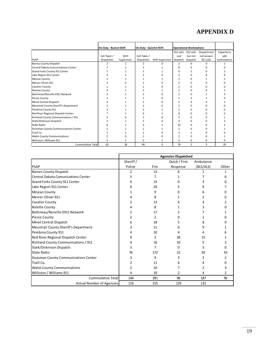## **APPENDIX D**

|                                              | On-Duty - Busiest Shift |            | On-Duty - Quietist Shift |                  |                   | <b>Operational Workstations</b> |              |              |
|----------------------------------------------|-------------------------|------------|--------------------------|------------------|-------------------|---------------------------------|--------------|--------------|
|                                              |                         |            |                          |                  |                   | 911 calls 911 calls             | Dispatch but | Capacity to  |
|                                              | Call Taker /            | Shift      | Call Taker /             |                  | and               | but not                         | not answer   | add          |
| <b>PSAP</b>                                  | Dispatcher              | Supervisor | Dispatcher               | Shift Supervisor | dispatch dispatch |                                 | 911 calls    | workstations |
| <b>Barnes County Dispatch</b>                |                         |            | $\overline{2}$           | <sup>n</sup>     | $\overline{2}$    | 0                               | $\Omega$     |              |
| <b>Central Dakota Comunications Center</b>   |                         |            |                          |                  | 8                 |                                 |              |              |
| Grand Forks County 911 Center                |                         |            |                          |                  | 6                 | 2                               | n            |              |
| Lake Region 911 Center                       |                         |            |                          |                  |                   |                                 |              |              |
| McLean County                                |                         |            |                          |                  |                   | ŋ                               |              |              |
| Mercer-Oliver 911                            |                         |            |                          |                  |                   | ŋ                               |              |              |
| Cavalier County                              |                         |            |                          |                  |                   | ŋ                               | n            |              |
| <b>Rolette County</b>                        |                         |            |                          |                  |                   | 0                               |              |              |
| Bottineau/Renville E911 Network              |                         |            |                          |                  | 2                 | 0                               |              |              |
| Pierce County                                |                         |            |                          |                  |                   | $\overline{2}$                  |              |              |
| Minot Central Dispatch                       |                         |            |                          |                  |                   | 0                               | n            |              |
| Mountrail County Sheriff's Department        |                         |            |                          |                  |                   | 0                               | C            |              |
| Pembina County 911                           |                         |            |                          |                  | $\mathcal{P}$     | O                               | n            |              |
| Red River Regional Dispatch Center           |                         |            |                          |                  | 8                 | 0                               | ŋ            |              |
| Richland County Communications / 911         |                         |            | 2                        |                  | 3                 | ŋ                               | n            |              |
| Stark/Dickinson Dispatch                     |                         |            | 2                        |                  | 4                 | 0                               |              |              |
| State Radio                                  |                         |            |                          |                  | 10                | ŋ                               | O            |              |
| <b>Stutsman County Communications Center</b> |                         |            |                          |                  | з                 | ŋ                               |              |              |
| Traill Co.                                   |                         |            |                          |                  | 2                 | 1                               | n            |              |
| <b>Walsh County Communications</b>           |                         |            |                          |                  | $\mathcal{P}$     |                                 | C            |              |
| Williston / Williams 911                     | 3                       |            | 2                        | 1                | 3                 | 0                               | 0            | 0            |
| Cummulative Total                            | 63                      | 18         | 44                       | 9                | 74                | 5                               | 3            | 20           |

|                                              | <b>Agencies Dispatched</b> |      |               |           |              |
|----------------------------------------------|----------------------------|------|---------------|-----------|--------------|
|                                              | Sheriff /                  |      | Quick / First | Ambulance |              |
| PSAP                                         | Police                     | Fire | Response      | (BLS/ALS) | Other        |
| <b>Barnes County Dispatch</b>                | 2                          | 13   | 6             |           | 1            |
| Central Dakota Comunications Center          | 5                          | 7    |               |           | 6            |
| Grand Forks County 911 Center                | 6                          | 13   | n             |           | n            |
| Lake Region 911 Center                       | 6                          | 24   |               |           |              |
| <b>McLean County</b>                         | 1                          | 9    | 0             | 6         |              |
| Mercer-Oliver 911                            | 4                          | 8    |               | 2         |              |
| <b>Cavalier County</b>                       | 2                          | 13   | 4             | 4         |              |
| <b>Rolette County</b>                        | 4                          | 8    |               | 3         |              |
| Bottineau/Renville E911 Network              | 2                          | 17   |               |           |              |
| <b>Pierce County</b>                         | 2                          | 2    | ი             | 1         | n            |
| Minot Central Dispatch                       | 6                          | 18   | 5             | 8         |              |
| Mountrail County Sheriff's Department        | 3                          | 11   | 0             | 9         |              |
| Pembina County 911                           | 4                          | 10   | 4             | 4         |              |
| Red River Regional Dispatch Center           | 9                          | 3    | 28            | 15        |              |
| Richland County Communications / 911         | 4                          | 16   | 10            | 5         | 2            |
| Stark/Dickinson Dispatch                     | 3                          | 7    | O             | 3         | <sup>n</sup> |
| State Radio                                  | 76                         | 172  | 15            | 92        | 55           |
| <b>Stutsman County Communications Center</b> | 3                          | 9    | 3             | 2         | 2            |
| Traill Co.                                   | 2                          | 11   | 6             | 4         | O            |
| <b>Walsh County Communications</b>           | 2                          | 10   |               | 2         | 3            |
| Williston / Williams 911                     | 4                          | 10   | 2             | 4         | 2            |
| <b>Cummulative Total</b>                     | 146                        | 381  | 98            | 187       | 96           |
| <b>Actual Number of Agencies</b>             | 116                        | 315  | 129           | 132       |              |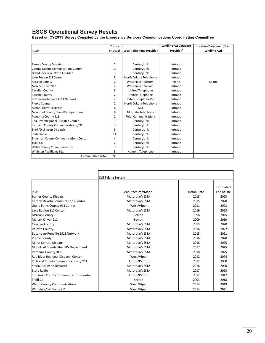## ESCS Operational Survey Results

Based on CY2019 Survey Compiled by the Emergency Services Communications Coordinating Committee

|                                              | <b>Trunks</b>  |                             | <b>Landline ALI Database</b> | <b>Location Database (If No</b> |
|----------------------------------------------|----------------|-----------------------------|------------------------------|---------------------------------|
| PSAP                                         | (NG911)        | Local Telephone Provider    | Provider <sup>d</sup>        | Landline ALI)                   |
|                                              |                |                             |                              |                                 |
|                                              |                |                             |                              |                                 |
| <b>Barnes County Dispatch</b>                | 2              | CenturyLink                 | Intrado                      |                                 |
| Central Dakota Comunications Center          | 10             | CenturyLink                 | Intrado                      |                                 |
| Grand Forks County 911 Center                | 3              | CenturyLink                 | Intrado                      |                                 |
| Lake Region 911 Center                       | 5              | North Dakota Telephone      | Intrado                      |                                 |
| McLean County                                | 2              | West River Telecom.         | None                         | Seatol                          |
| Mercer-Oliver 911                            | 2              | West River Telecom.         | Intrado                      |                                 |
| Cavalier County                              | 3              | <b>United Telephone</b>     | Intrado                      |                                 |
| Rolette County                               | $\overline{2}$ | United Telephone            | Intrado                      |                                 |
| Bottineau/Renville E911 Network              | 2              | United Telephone/SRT        | Intrado                      |                                 |
| Pierce County                                | 2              | North Dakota Telephone      | Intrado                      |                                 |
| Minot Central Dispatch                       | 6              | <b>SRT</b>                  | Intrado                      |                                 |
| Mountrail County Sheriff's Department        | 8              | Midstate Telephone          | Intrado                      |                                 |
| Pembina County 911                           | $\overline{2}$ | <b>Polar Communications</b> | Intrado                      |                                 |
| Red River Regional Dispatch Center           | 10             | CenturyLink                 | Intrado                      |                                 |
| Richland County Communications / 911         | 3              | CenturyLink                 | Intrado                      |                                 |
| Stark/Dickinson Dispatch                     | 5              | CenturyLink                 | Intrado                      |                                 |
| <b>State Radio</b>                           | 14             | CenturyLink                 | Intrado                      |                                 |
| <b>Stutsman County Communications Center</b> | 4              | CenturyLink                 | Intrado                      |                                 |
| Traill Co.                                   | 2              | CenturyLink                 | Intrado                      |                                 |
| <b>Walsh County Communications</b>           | 3              | CenturyLink                 | Intrado                      |                                 |
| Williston / Williams 911                     | 3              | Nemont Telephone            | Intrado                      |                                 |
| Cummulative Total                            | 93             |                             |                              |                                 |

|                                              | <b>Call Taking System</b> |                     |             |
|----------------------------------------------|---------------------------|---------------------|-------------|
|                                              |                           |                     |             |
|                                              |                           |                     | Estimated   |
| <b>PSAP</b>                                  | Manufacturer/Model        | <b>Install Date</b> | End of Life |
| <b>Barnes County Dispatch</b>                | Motorola/VESTA            | 2018                | 2023        |
| Central Dakota Comunications Center          | Motorola/VESTA            | 2015                | 2020        |
| Grand Forks County 911 Center                | West/Viper                | 2011                | 2023        |
| Lake Region 911 Center                       | Motorola/VESTA            | 2019                | 2023        |
| McLean County                                | Zetron                    | 1996                | 2025        |
| Mercer-Oliver 911                            | Zetron                    | 2009                | 2019        |
| Cavalier County                              | Motorola/VESTA            | 2015                | 2020        |
| <b>Rolette County</b>                        | Motorola/VESTA            | 2016                | 2022        |
| Bottineau/Renville E911 Network              | Motorola/VESTA            | 2015                | 2021        |
| Pierce County                                | Motorola/VESTA            | 2016                | 2020        |
| Minot Central Dispatch                       | Motorola/VESTA            | 2016                | 2025        |
| Mountrail County Sheriff's Department        | Motorola/VESTA            | 2017                | 2025        |
| Pembina County 911                           | Motorola/VESTA            | 2018                | 2025        |
| Red River Regional Dispatch Center           | West/Viper                | 2012                | 2024        |
| Richland County Communications / 911         | Airbus/Patriot            | 2012                | 2030        |
| Stark/Dickinson Dispatch                     | Motorola/VESTA            | 2016                | 2020        |
| State Radio                                  | Motorola/VESTA            | 2017                | 2020        |
| <b>Stutsman County Communications Center</b> | Airbus/Patriot            | 2012                | 2017        |
| Traill Co.                                   | Zetron                    | 2003                | 2018        |
| <b>Walsh County Communications</b>           | West/Viper                | 2014                | 2019        |
| Williston / Williams 911                     | West/Viper                | 2014                | 2021        |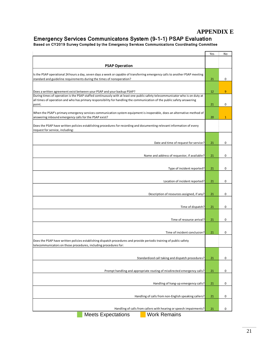## **APPENDIX E**

## Emergency Services Communicatons System (9-1-1) PSAP Evaluation

Based on CY2019 Survey Compiled by the Emergency Services Communications Coordinating Committee

|                                                                                                                                                                                                                                                                                                                                              | Yes      | No           |
|----------------------------------------------------------------------------------------------------------------------------------------------------------------------------------------------------------------------------------------------------------------------------------------------------------------------------------------------|----------|--------------|
| <b>PSAP Operation</b>                                                                                                                                                                                                                                                                                                                        |          |              |
| Is the PSAP operational 24 hours a day, seven days a week or capable of transferring emergency calls to another PSAP meeting<br>standard and guideline requirements during the times of nonoperation?                                                                                                                                        | 21       | 0            |
|                                                                                                                                                                                                                                                                                                                                              |          |              |
| Does a written agreement exist between your PSAP and your backup PSAP?<br>During times of operation is the PSAP staffed continuously with at least one public safety telecommunicator who is on duty at<br>all times of operation and who has primary responsibility for handling the communication of the public safety answering<br>point. | 12<br>21 | 9<br>0       |
| When the PSAP's primary emergency services communication system equipment is inoperable, does an alternative method of<br>answering inbound emergency calls for the PSAP exist?                                                                                                                                                              | 20       | $\mathbf{1}$ |
| Does the PSAP have written policies establishing procedures for recording and documenting relevant information of every<br>request for service, including:                                                                                                                                                                                   |          |              |
| Date and time of request for service?                                                                                                                                                                                                                                                                                                        | 21       | 0            |
|                                                                                                                                                                                                                                                                                                                                              |          |              |
| Name and address of requestor, if available?                                                                                                                                                                                                                                                                                                 | 21       | 0            |
| Type of incident reported?                                                                                                                                                                                                                                                                                                                   | 21       | 0            |
| Location of incident reported?                                                                                                                                                                                                                                                                                                               | 21       | 0            |
| Description of resources assigned, if any?                                                                                                                                                                                                                                                                                                   | 21       | 0            |
| Time of dispatch?                                                                                                                                                                                                                                                                                                                            | 21       | 0            |
|                                                                                                                                                                                                                                                                                                                                              |          |              |
| Time of resource arrival?                                                                                                                                                                                                                                                                                                                    | 21       | 0            |
| Time of incident conclusion?<br>Does the PSAP have written policies establishing dispatch procedures and provide periodic training of public safety                                                                                                                                                                                          | 21       | 0            |
| telecommunicators on those procedures, including procedures for:                                                                                                                                                                                                                                                                             |          |              |
| Standardized call taking and dispatch procedures?                                                                                                                                                                                                                                                                                            | 21       | 0            |
| Prompt handling and appropriate routing of misdirected emergency calls?                                                                                                                                                                                                                                                                      | 21       | 0            |
| Handling of hang-up emergency calls?                                                                                                                                                                                                                                                                                                         | 21       | 0            |
| Handling of calls from non-English speaking callers?                                                                                                                                                                                                                                                                                         | 21       | 0            |
|                                                                                                                                                                                                                                                                                                                                              |          |              |
| Handling of calls from callers with hearing or speech impairments?                                                                                                                                                                                                                                                                           | 21       | 0            |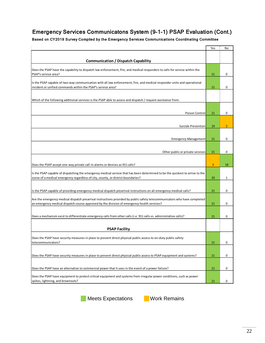## Emergency Services Communicatons System (9-1-1) PSAP Evaluation (Cont.)

Based on CY2019 Survey Compiled by the Emergency Services Communications Coordinating Committee

|                                                                                                                                                                                                                                                                   | Yes      | No             |
|-------------------------------------------------------------------------------------------------------------------------------------------------------------------------------------------------------------------------------------------------------------------|----------|----------------|
| <b>Communication / Dispatch Capability</b>                                                                                                                                                                                                                        |          |                |
| Does the PSAP have the capability to dispatch law enforcement, fire, and medical responders to calls for service within the<br>PSAP's service area?                                                                                                               |          | 0              |
| Is the PSAP capable of two-way communication with all law enforcement, fire, and medical responder units and operational<br>incident or unified commands within the PSAP's service area?                                                                          |          | 0              |
| Which of the following additional services is the PSAP able to access and dispatch / request assistance from:                                                                                                                                                     |          |                |
| Poison Control                                                                                                                                                                                                                                                    | 21       | 0              |
| Suicide Prevention                                                                                                                                                                                                                                                | 19       | $\overline{2}$ |
| <b>Emergency Management</b>                                                                                                                                                                                                                                       | 21       | 0              |
| Other public or private services                                                                                                                                                                                                                                  | 21       | 0              |
| Does the PSAP accept one-way private call-in alarms or devices as 911 calls?                                                                                                                                                                                      | 3        | 18             |
| Is the PSAP capable of dispatching the emergency medical service that has been determined to be the quickest to arrive to the<br>scene of a medical emergency regardless of city, county, or district boundaries?                                                 | 20       | 1              |
| Is the PSAP capable of providing emergency medical dispatch prearrival instructions on all emergency medical calls?                                                                                                                                               | 21       | 0              |
| Are the emergency medical dispatch prearrival instructions provided by public safety telecommunicators who have completed<br>an emergency medical dispatch course approved by the division of emergency health services?                                          |          | 0              |
| Does a mechanism exist to differentiate emergency calls from other calls (i.e. 911 calls vs. administrative calls)?                                                                                                                                               | 21<br>21 | 0              |
| <b>PSAP Facility</b>                                                                                                                                                                                                                                              |          |                |
| Does the PSAP have security measures in place to prevent direct physical public access to on-duty public safety<br>telecommunicators?                                                                                                                             | 21       | 0              |
| Does the PSAP have security measures in place to prevent direct physical public access to PSAP equipment and systems?                                                                                                                                             | 21       | 0              |
|                                                                                                                                                                                                                                                                   |          |                |
| Does the PSAP have an alternative to commercial power that it uses in the event of a power failure?<br>Does the PSAP have equipment to protect critical equipment and systems from irregular power conditions, such as power<br>spikes, lightning, and brownouts? | 21       | 0              |
|                                                                                                                                                                                                                                                                   | 21       | 0              |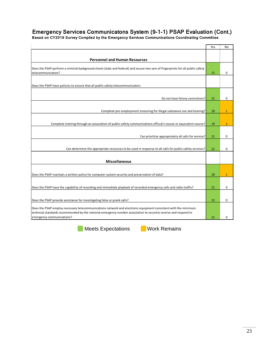## Emergency Services Communicatons System (9-1-1) PSAP Evaluation (Cont.)

Based on CY2019 Survey Compiled by the Emergency Services Communications Coordinating Committee

|                                                                                                                                                                                                                                                                | Yes | No             |
|----------------------------------------------------------------------------------------------------------------------------------------------------------------------------------------------------------------------------------------------------------------|-----|----------------|
|                                                                                                                                                                                                                                                                |     |                |
| <b>Personnel and Human Resources</b>                                                                                                                                                                                                                           |     |                |
| Does the PSAP perform a criminal background check (state and federal) and secure two sets of fingerprints for all public safety<br>telecommunicators?                                                                                                          |     | 0              |
| Does the PSAP have policies to ensure that all public safety telecommunicators:                                                                                                                                                                                |     |                |
|                                                                                                                                                                                                                                                                |     |                |
| Do not have felony convictions?                                                                                                                                                                                                                                | 21  | $\mathbf 0$    |
|                                                                                                                                                                                                                                                                |     |                |
| Complete pre-employment screening for illegal substance use and hearing?                                                                                                                                                                                       | 20  | $\mathbf{1}$   |
| Complete training through an association of public safety communications official's course or equivalent course?                                                                                                                                               | 19  | $\overline{2}$ |
|                                                                                                                                                                                                                                                                |     |                |
| Can prioritize appropriately all calls for service?                                                                                                                                                                                                            | 21  | 0              |
| Can determine the appropriate resources to be used in response to all calls for public safety services?                                                                                                                                                        | 21  | 0              |
|                                                                                                                                                                                                                                                                |     |                |
| <b>Miscellaneous</b>                                                                                                                                                                                                                                           |     |                |
| Does the PSAP maintain a written policy for computer system security and preservation of data?                                                                                                                                                                 | 20  | $\mathbf{1}$   |
|                                                                                                                                                                                                                                                                |     |                |
| Does the PSAP have the capability of recording and immediate playback of recorded emergency calls and radio traffic?                                                                                                                                           | 21  | $\mathbf 0$    |
| Does the PSAP provide assistance for investigating false or prank calls?                                                                                                                                                                                       | 21  | 0              |
|                                                                                                                                                                                                                                                                |     |                |
| Does the PSAP employ necessary telecommunications network and electronic equipment consistent with the minimum<br>technical standards recommended by the national emergency number association to securely receive and respond to<br>emergency communications? | 21  | 0              |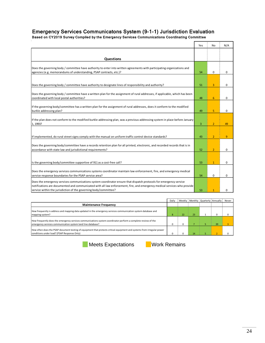## Emergency Services Communicatons System (9-1-1) Jurisdiction Evaluation

Based on CY2019 Survey Compiled by the Emergency Services Communications Coordinating Committee

|                                                                                                                                                                                                                                                                                                                    | Yes | No             | N/A            |
|--------------------------------------------------------------------------------------------------------------------------------------------------------------------------------------------------------------------------------------------------------------------------------------------------------------------|-----|----------------|----------------|
|                                                                                                                                                                                                                                                                                                                    |     |                |                |
| Questions                                                                                                                                                                                                                                                                                                          |     |                |                |
| Does the governing body / committee have authority to enter into written agreements with participating organizations and<br>agencies (e.g. memorandums of understanding, PSAP contracts, etc.)?                                                                                                                    | 54  | 0              | $\mathbf 0$    |
| Does the governing body / committee have authority to designate lines of responsibility and authority?                                                                                                                                                                                                             | 51  | 3              | 0              |
| Does the governing body / committee have a written plan for the assignment of rural addresses, if applicable, which has been<br>coordinated with local postal authorities?                                                                                                                                         | 48  | 6              | $\Omega$       |
| If the governing body/committee has a written plan for the assignment of rural addresses, does it conform to the modified<br>burkle addressing plan?                                                                                                                                                               | 49  | 5              | 0              |
| If the plan does not conform to the modified burkle addressing plan, was a previous addressing system in place before January<br>1, 1993?                                                                                                                                                                          | 3   | $\overline{2}$ | 49             |
| If implemented, do rural street signs comply with the manual on uniform traffic control device standards?                                                                                                                                                                                                          | 43  | $\overline{2}$ | $\overline{9}$ |
| Does the governing body/committee have a records retention plan for all printed, electronic, and recorded records that is in<br>accordance with state law and jurisdictional requirements?                                                                                                                         | 52  | $\overline{2}$ | $\mathbf 0$    |
| Is the governing body/committee supportive of 911 as a cost-free call?                                                                                                                                                                                                                                             | 53  | $\mathbf{1}$   | 0              |
| Does the emergency services communications systems coordinator maintain law enforcement, fire, and emergency medical<br>service response boundaries for the PSAP service area?                                                                                                                                     | 54  | 0              | $\Omega$       |
| Does the emergency services communications system coordinator ensure that dispatch protocols for emergency service<br>notifications are documented and communicated with all law enforcement, fire, and emergency medical services who provide<br>service within the jurisdiction of the governing body/committee? | 53  |                | $\Omega$       |

|                                                                                                                                                                              | Daily      |    |                 | Weekly   Monthly   Quarterly   Annually |    | Never |
|------------------------------------------------------------------------------------------------------------------------------------------------------------------------------|------------|----|-----------------|-----------------------------------------|----|-------|
| <b>Maintenance Frequency</b>                                                                                                                                                 |            |    |                 |                                         |    |       |
| How frequently is address and mapping data updated in the emergency services communication system database and<br>mapping system?                                            | $\epsilon$ | 22 | 23              |                                         |    |       |
| How frequently does the emergency services communications system coordinator perform a complete review of the<br>emergency services communication system land line database? | u          |    |                 |                                         | 39 |       |
| How often does the PSAP document testing of equipment that protects critical equipment and systems from irregular power<br>conditions under load? (PSAP Response Only)       |            |    | 14 <sup>°</sup> |                                         |    |       |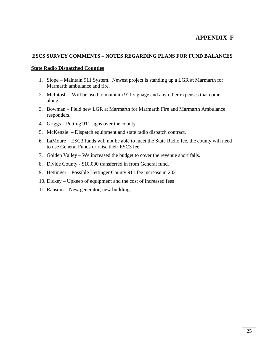## **APPENDIX F**

## **ESCS SURVEY COMMENTS – NOTES REGARDING PLANS FOR FUND BALANCES**

### **State Radio Dispatched Counties**

- 1. Slope Maintain 911 System. Newest project is standing up a LGR at Marmarth for Marmarth ambulance and fire.
- 2. McIntosh Will be used to maintain 911 signage and any other expenses that come along.
- 3. Bowman Field new LGR at Marmarth for Marmarth Fire and Marmarth Ambulance responders.
- 4. Griggs Putting 911 signs over the county
- 5. McKenzie Dispatch equipment and state radio dispatch contract.
- 6. LaMoure ESC3 funds will not be able to meet the State Radio fee, the county will need to use General Funds or raise their ESC3 fee.
- 7. Golden Valley We increased the budget to cover the revenue short falls.
- 8. Divide County \$10,000 transferred in from General fund.
- 9. Hettinger Possible Hettinger County 911 fee increase in 2021
- 10. Dickey Upkeep of equipment and the cost of increased fees
- 11. Ransom New generator, new building